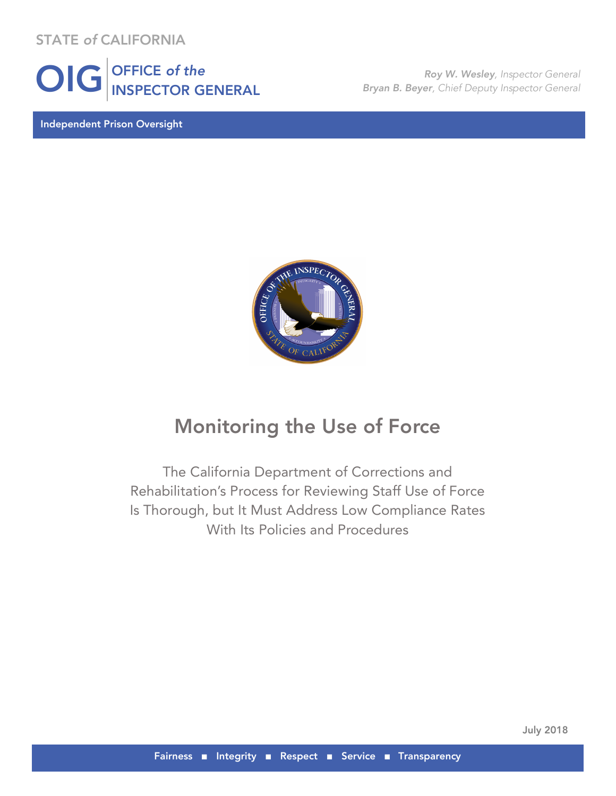STATE *of* CALIFORNIA



Independent Prison Oversight

*Roy W. Wesley, Inspector General Bryan B. Beyer, Chief Deputy Inspector General*



## Monitoring the Use of Force

The California Department of Corrections and Rehabilitation's Process for Reviewing Staff Use of Force Is Thorough, but It Must Address Low Compliance Rates With Its Policies and Procedures

July 2018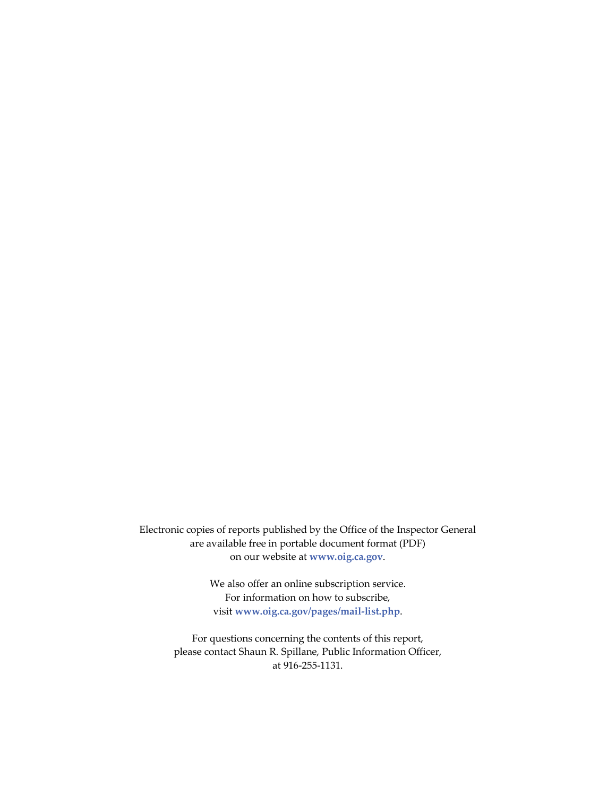Electronic copies of reports published by the Office of the Inspector General are available free in portable document format (PDF) on our website at **www.oig.ca.gov**.

> We also offer an online subscription service. For information on how to subscribe, visit **www.oig.ca.gov/pages/mail-list.php**.

For questions concerning the contents of this report, please contact Shaun R. Spillane, Public Information Officer, at 916-255-1131.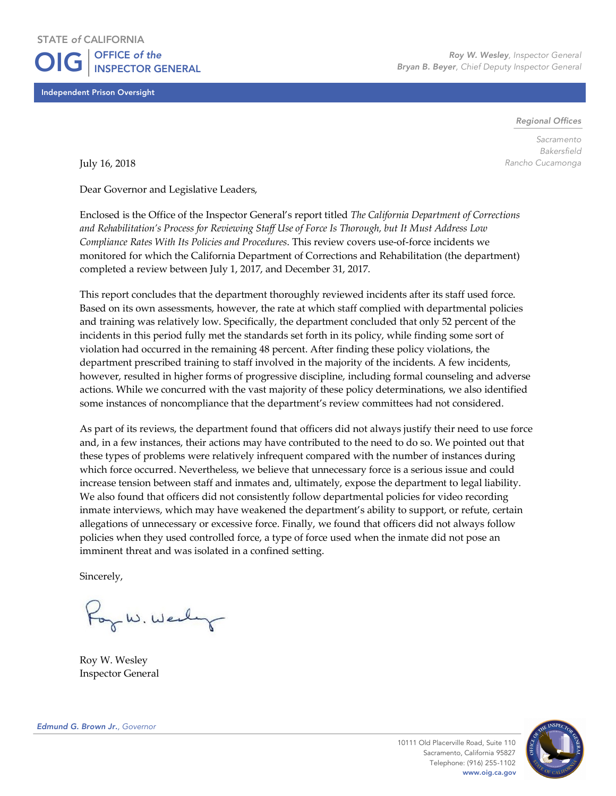Independent Prison Oversight

*Roy W. Wesley, Inspector General Bryan B. Beyer, Chief Deputy Inspector General*

*Regional Offices*

*Sacramento Bakersfield Rancho Cucamonga*

July 16, 2018

Dear Governor and Legislative Leaders,

Enclosed is the Office of the Inspector General's report titled *The California Department of Corrections and Rehabilitation's Process for Reviewing Staff Use of Force Is Thorough, but It Must Address Low Compliance Rates With Its Policies and Procedures*. This review covers use-of-force incidents we monitored for which the California Department of Corrections and Rehabilitation (the department) completed a review between July 1, 2017, and December 31, 2017.

This report concludes that the department thoroughly reviewed incidents after its staff used force. Based on its own assessments, however, the rate at which staff complied with departmental policies and training was relatively low. Specifically, the department concluded that only 52 percent of the incidents in this period fully met the standards set forth in its policy, while finding some sort of violation had occurred in the remaining 48 percent. After finding these policy violations, the department prescribed training to staff involved in the majority of the incidents. A few incidents, however, resulted in higher forms of progressive discipline, including formal counseling and adverse actions. While we concurred with the vast majority of these policy determinations, we also identified some instances of noncompliance that the department's review committees had not considered.

As part of its reviews, the department found that officers did not always justify their need to use force and, in a few instances, their actions may have contributed to the need to do so. We pointed out that these types of problems were relatively infrequent compared with the number of instances during which force occurred. Nevertheless, we believe that unnecessary force is a serious issue and could increase tension between staff and inmates and, ultimately, expose the department to legal liability. We also found that officers did not consistently follow departmental policies for video recording inmate interviews, which may have weakened the department's ability to support, or refute, certain allegations of unnecessary or excessive force. Finally, we found that officers did not always follow policies when they used controlled force, a type of force used when the inmate did not pose an imminent threat and was isolated in a confined setting.

Sincerely,

For W. Wedy

Roy W. Wesley Inspector General

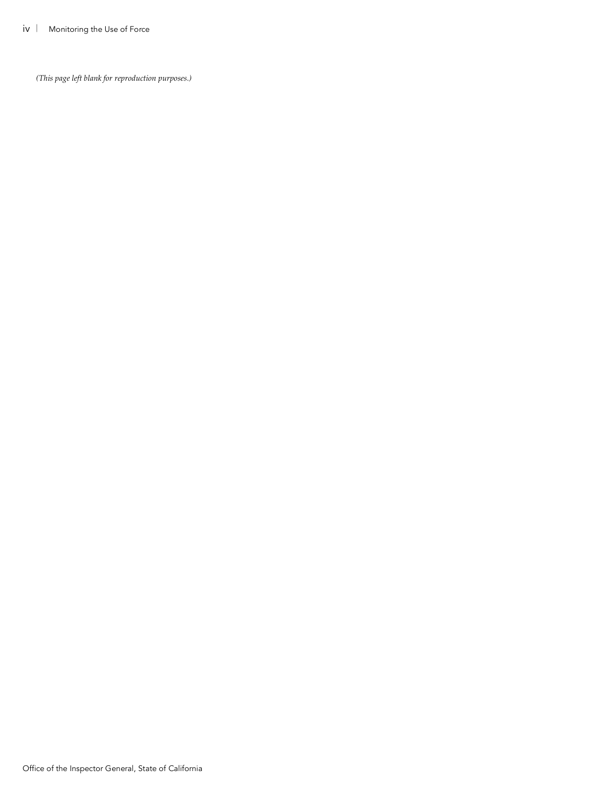*(This page left blank for reproduction purposes.)*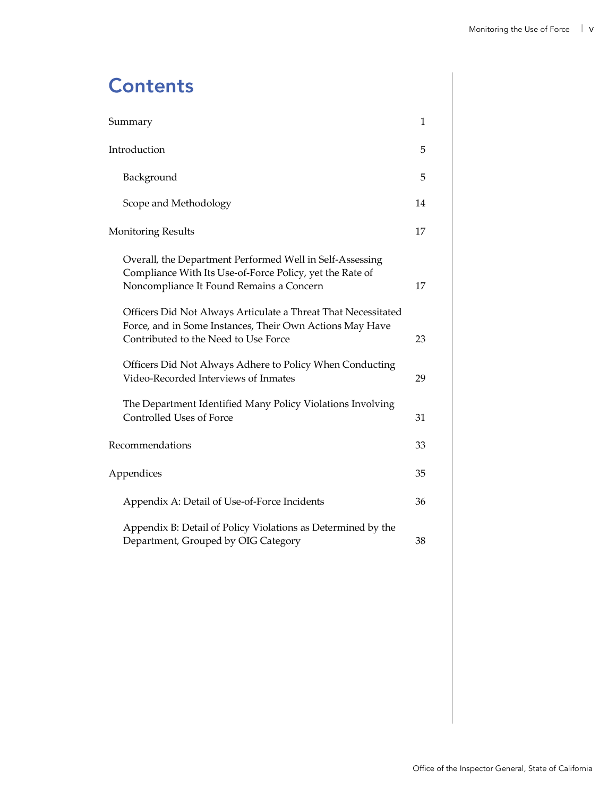# **Contents**

| Summary                                                                                                                                                           | 1  |
|-------------------------------------------------------------------------------------------------------------------------------------------------------------------|----|
| Introduction                                                                                                                                                      | 5  |
| Background                                                                                                                                                        | 5  |
| Scope and Methodology                                                                                                                                             | 14 |
| <b>Monitoring Results</b>                                                                                                                                         | 17 |
| Overall, the Department Performed Well in Self-Assessing<br>Compliance With Its Use-of-Force Policy, yet the Rate of<br>Noncompliance It Found Remains a Concern  | 17 |
| Officers Did Not Always Articulate a Threat That Necessitated<br>Force, and in Some Instances, Their Own Actions May Have<br>Contributed to the Need to Use Force | 23 |
| Officers Did Not Always Adhere to Policy When Conducting<br>Video-Recorded Interviews of Inmates                                                                  | 29 |
| The Department Identified Many Policy Violations Involving<br>Controlled Uses of Force                                                                            | 31 |
| Recommendations                                                                                                                                                   | 33 |
| Appendices                                                                                                                                                        | 35 |
| Appendix A: Detail of Use-of-Force Incidents                                                                                                                      | 36 |
| Appendix B: Detail of Policy Violations as Determined by the<br>Department, Grouped by OIG Category                                                               | 38 |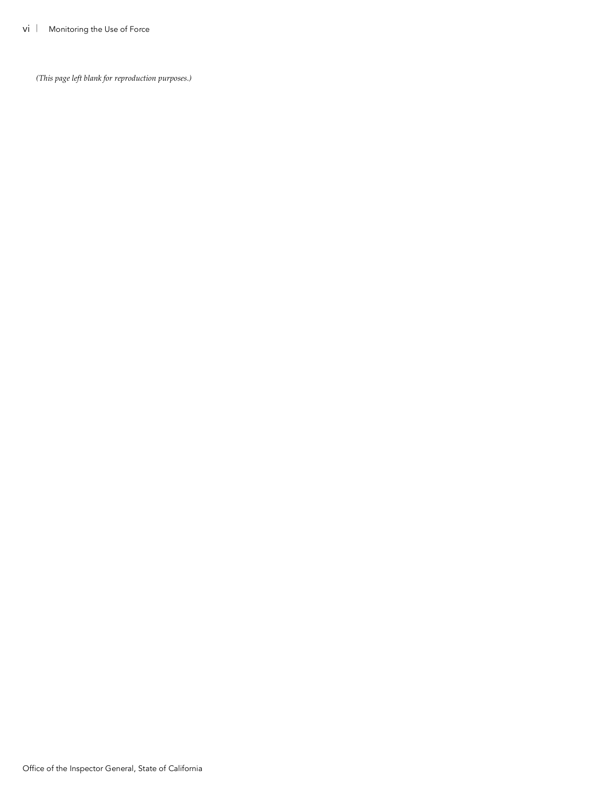*(This page left blank for reproduction purposes.)*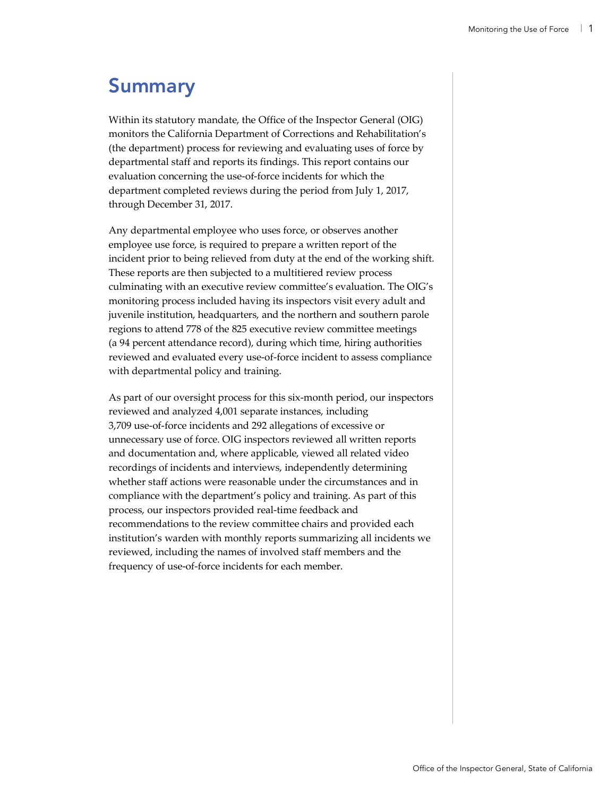# Summary

Within its statutory mandate, the Office of the Inspector General (OIG) monitors the California Department of Corrections and Rehabilitation's (the department) process for reviewing and evaluating uses of force by departmental staff and reports its findings. This report contains our evaluation concerning the use-of-force incidents for which the department completed reviews during the period from July 1, 2017, through December 31, 2017.

Any departmental employee who uses force, or observes another employee use force, is required to prepare a written report of the incident prior to being relieved from duty at the end of the working shift. These reports are then subjected to a multitiered review process culminating with an executive review committee's evaluation. The OIG's monitoring process included having its inspectors visit every adult and juvenile institution, headquarters, and the northern and southern parole regions to attend 778 of the 825 executive review committee meetings (a 94 percent attendance record), during which time, hiring authorities reviewed and evaluated every use-of-force incident to assess compliance with departmental policy and training.

As part of our oversight process for this six-month period, our inspectors reviewed and analyzed 4,001 separate instances, including 3,709 use-of-force incidents and 292 allegations of excessive or unnecessary use of force. OIG inspectors reviewed all written reports and documentation and, where applicable, viewed all related video recordings of incidents and interviews, independently determining whether staff actions were reasonable under the circumstances and in compliance with the department's policy and training. As part of this process, our inspectors provided real-time feedback and recommendations to the review committee chairs and provided each institution's warden with monthly reports summarizing all incidents we reviewed, including the names of involved staff members and the frequency of use-of-force incidents for each member.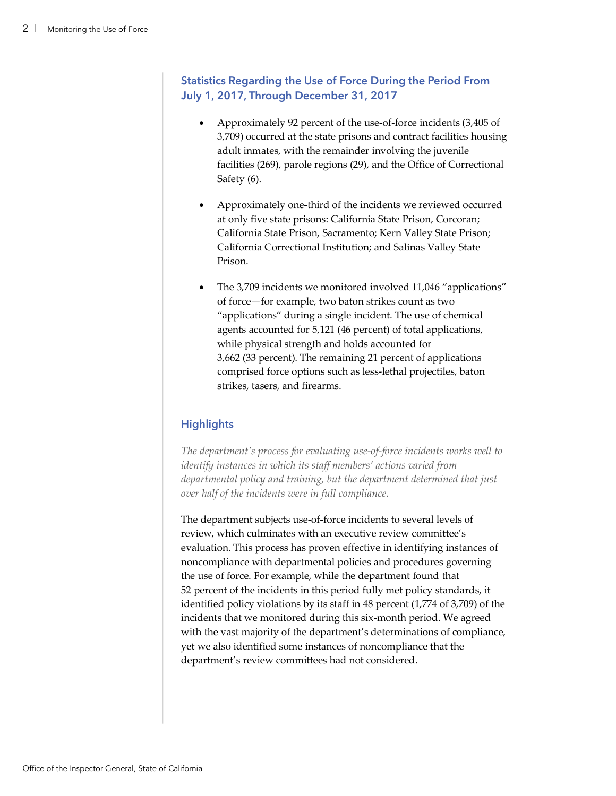### **Statistics Regarding the Use of Force During the Period From July 1, 2017, Through December 31, 2017**

- Approximately 92 percent of the use-of-force incidents (3,405 of 3,709) occurred at the state prisons and contract facilities housing adult inmates, with the remainder involving the juvenile facilities (269), parole regions (29), and the Office of Correctional Safety (6).
- Approximately one-third of the incidents we reviewed occurred at only five state prisons: California State Prison, Corcoran; California State Prison, Sacramento; Kern Valley State Prison; California Correctional Institution; and Salinas Valley State Prison.
- The 3,709 incidents we monitored involved 11,046 "applications" of force—for example, two baton strikes count as two "applications" during a single incident. The use of chemical agents accounted for 5,121 (46 percent) of total applications, while physical strength and holds accounted for 3,662 (33 percent). The remaining 21 percent of applications comprised force options such as less-lethal projectiles, baton strikes, tasers, and firearms.

### **Highlights**

*The department's process for evaluating use-of-force incidents works well to identify instances in which its staff members' actions varied from departmental policy and training, but the department determined that just over half of the incidents were in full compliance.* 

The department subjects use-of-force incidents to several levels of review, which culminates with an executive review committee's evaluation. This process has proven effective in identifying instances of noncompliance with departmental policies and procedures governing the use of force. For example, while the department found that 52 percent of the incidents in this period fully met policy standards, it identified policy violations by its staff in 48 percent (1,774 of 3,709) of the incidents that we monitored during this six-month period. We agreed with the vast majority of the department's determinations of compliance, yet we also identified some instances of noncompliance that the department's review committees had not considered.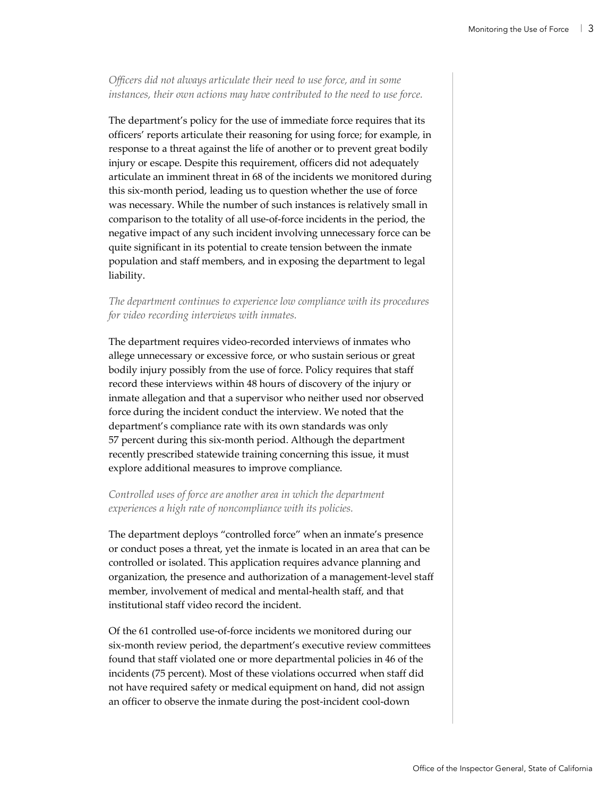*Officers did not always articulate their need to use force, and in some instances, their own actions may have contributed to the need to use force.*

The department's policy for the use of immediate force requires that its officers' reports articulate their reasoning for using force; for example, in response to a threat against the life of another or to prevent great bodily injury or escape. Despite this requirement, officers did not adequately articulate an imminent threat in 68 of the incidents we monitored during this six-month period, leading us to question whether the use of force was necessary. While the number of such instances is relatively small in comparison to the totality of all use-of-force incidents in the period, the negative impact of any such incident involving unnecessary force can be quite significant in its potential to create tension between the inmate population and staff members, and in exposing the department to legal liability.

### *The department continues to experience low compliance with its procedures for video recording interviews with inmates.*

The department requires video-recorded interviews of inmates who allege unnecessary or excessive force, or who sustain serious or great bodily injury possibly from the use of force. Policy requires that staff record these interviews within 48 hours of discovery of the injury or inmate allegation and that a supervisor who neither used nor observed force during the incident conduct the interview. We noted that the department's compliance rate with its own standards was only 57 percent during this six-month period. Although the department recently prescribed statewide training concerning this issue, it must explore additional measures to improve compliance.

### *Controlled uses of force are another area in which the department experiences a high rate of noncompliance with its policies.*

The department deploys "controlled force" when an inmate's presence or conduct poses a threat, yet the inmate is located in an area that can be controlled or isolated. This application requires advance planning and organization, the presence and authorization of a management-level staff member, involvement of medical and mental-health staff, and that institutional staff video record the incident.

Of the 61 controlled use-of-force incidents we monitored during our six-month review period, the department's executive review committees found that staff violated one or more departmental policies in 46 of the incidents (75 percent). Most of these violations occurred when staff did not have required safety or medical equipment on hand, did not assign an officer to observe the inmate during the post-incident cool-down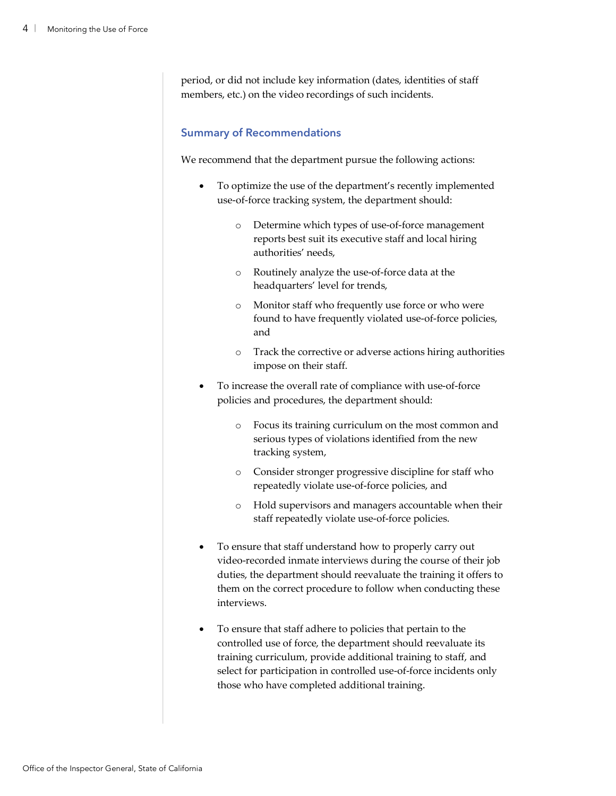period, or did not include key information (dates, identities of staff members, etc.) on the video recordings of such incidents.

### **Summary of Recommendations**

We recommend that the department pursue the following actions:

- To optimize the use of the department's recently implemented use-of-force tracking system, the department should:
	- o Determine which types of use-of-force management reports best suit its executive staff and local hiring authorities' needs,
	- o Routinely analyze the use-of-force data at the headquarters' level for trends,
	- o Monitor staff who frequently use force or who were found to have frequently violated use-of-force policies, and
	- o Track the corrective or adverse actions hiring authorities impose on their staff.
- To increase the overall rate of compliance with use-of-force policies and procedures, the department should:
	- o Focus its training curriculum on the most common and serious types of violations identified from the new tracking system,
	- o Consider stronger progressive discipline for staff who repeatedly violate use-of-force policies, and
	- o Hold supervisors and managers accountable when their staff repeatedly violate use-of-force policies.
- To ensure that staff understand how to properly carry out video-recorded inmate interviews during the course of their job duties, the department should reevaluate the training it offers to them on the correct procedure to follow when conducting these interviews.
- To ensure that staff adhere to policies that pertain to the controlled use of force, the department should reevaluate its training curriculum, provide additional training to staff, and select for participation in controlled use-of-force incidents only those who have completed additional training.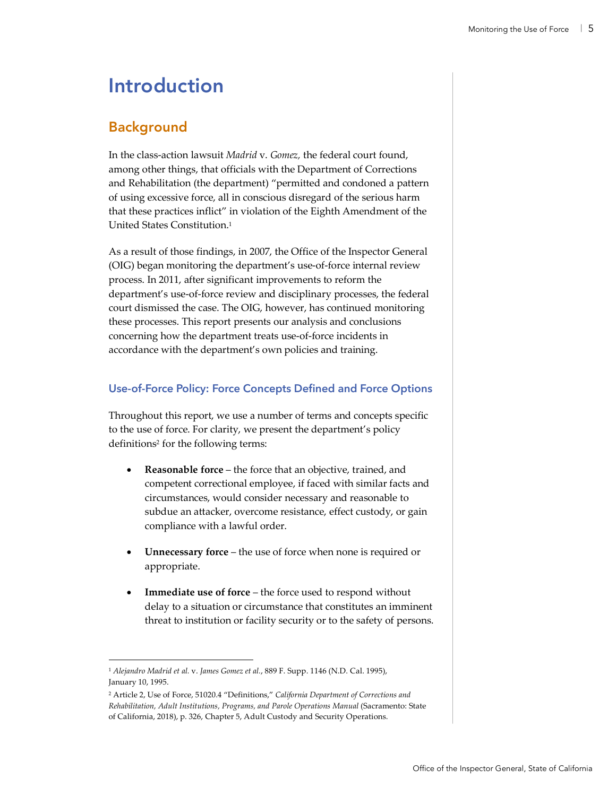# Introduction

### Background

In the class-action lawsuit *Madrid* v. *Gomez,* the federal court found, among other things, that officials with the Department of Corrections and Rehabilitation (the department) "permitted and condoned a pattern of using excessive force, all in conscious disregard of the serious harm that these practices inflict" in violation of the Eighth Amendment of the United States Constitution.1

As a result of those findings, in 2007, the Office of the Inspector General (OIG) began monitoring the department's use-of-force internal review process. In 2011, after significant improvements to reform the department's use-of-force review and disciplinary processes, the federal court dismissed the case. The OIG, however, has continued monitoring these processes. This report presents our analysis and conclusions concerning how the department treats use-of-force incidents in accordance with the department's own policies and training.

### **Use-of-Force Policy: Force Concepts Defined and Force Options**

Throughout this report, we use a number of terms and concepts specific to the use of force. For clarity, we present the department's policy definitions<sup>2</sup> for the following terms:

- **Reasonable force** the force that an objective, trained, and competent correctional employee, if faced with similar facts and circumstances, would consider necessary and reasonable to subdue an attacker, overcome resistance, effect custody, or gain compliance with a lawful order.
- **Unnecessary force** the use of force when none is required or appropriate.
- **Immediate use of force** the force used to respond without delay to a situation or circumstance that constitutes an imminent threat to institution or facility security or to the safety of persons.

 <sup>1</sup> *Alejandro Madrid et al.* v. *James Gomez et al.*, 889 F. Supp. 1146 (N.D. Cal. 1995), January 10, 1995.

<sup>2</sup> Article 2, Use of Force, 51020.4 "Definitions," *California Department of Corrections and Rehabilitation, Adult Institutions, Programs, and Parole Operations Manual* (Sacramento: State of California, 2018), p. 326, Chapter 5, Adult Custody and Security Operations.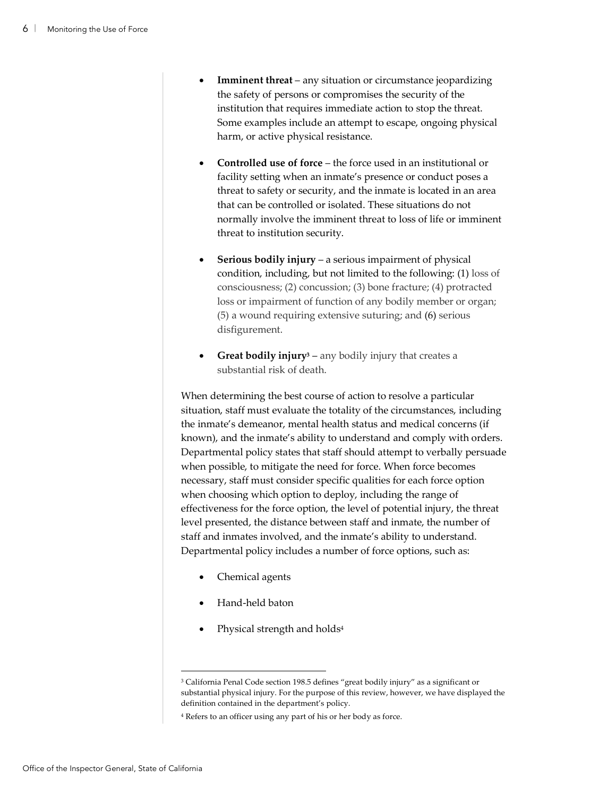- **Imminent threat** any situation or circumstance jeopardizing the safety of persons or compromises the security of the institution that requires immediate action to stop the threat. Some examples include an attempt to escape, ongoing physical harm, or active physical resistance.
- **Controlled use of force** the force used in an institutional or facility setting when an inmate's presence or conduct poses a threat to safety or security, and the inmate is located in an area that can be controlled or isolated. These situations do not normally involve the imminent threat to loss of life or imminent threat to institution security.
- **Serious bodily injury**  a serious impairment of physical condition, including, but not limited to the following: (1) loss of consciousness; (2) concussion; (3) bone fracture; (4) protracted loss or impairment of function of any bodily member or organ; (5) a wound requiring extensive suturing; and (6) serious disfigurement.
- **Great bodily injury3** any bodily injury that creates a substantial risk of death.

When determining the best course of action to resolve a particular situation, staff must evaluate the totality of the circumstances, including the inmate's demeanor, mental health status and medical concerns (if known), and the inmate's ability to understand and comply with orders. Departmental policy states that staff should attempt to verbally persuade when possible, to mitigate the need for force. When force becomes necessary, staff must consider specific qualities for each force option when choosing which option to deploy, including the range of effectiveness for the force option, the level of potential injury, the threat level presented, the distance between staff and inmate, the number of staff and inmates involved, and the inmate's ability to understand. Departmental policy includes a number of force options, such as:

- Chemical agents
- Hand-held baton
- Physical strength and holds<sup>4</sup>

 <sup>3</sup> California Penal Code section 198.5 defines "great bodily injury" as a significant or substantial physical injury. For the purpose of this review, however, we have displayed the definition contained in the department's policy.

<sup>4</sup> Refers to an officer using any part of his or her body as force.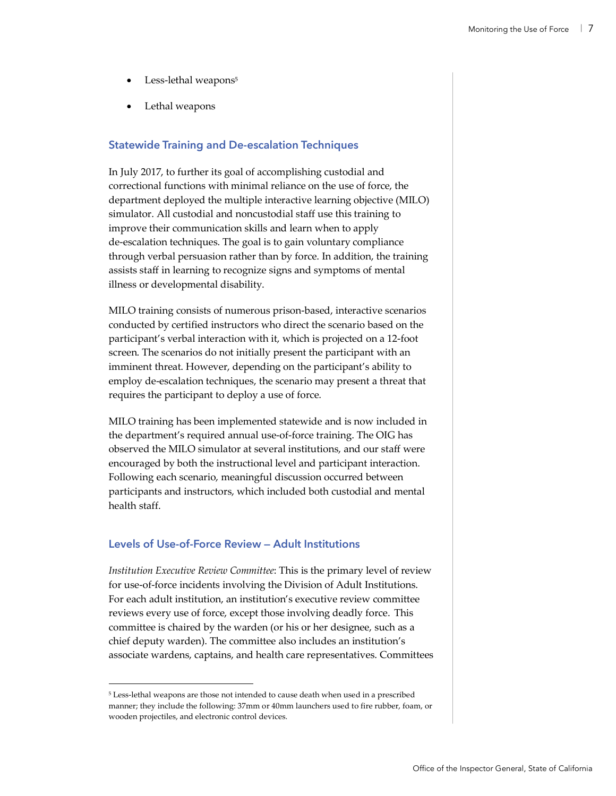- Less-lethal weapons<sup>5</sup>
- Lethal weapons

### **Statewide Training and De-escalation Techniques**

In July 2017, to further its goal of accomplishing custodial and correctional functions with minimal reliance on the use of force, the department deployed the multiple interactive learning objective (MILO) simulator. All custodial and noncustodial staff use this training to improve their communication skills and learn when to apply de-escalation techniques. The goal is to gain voluntary compliance through verbal persuasion rather than by force. In addition, the training assists staff in learning to recognize signs and symptoms of mental illness or developmental disability.

MILO training consists of numerous prison-based, interactive scenarios conducted by certified instructors who direct the scenario based on the participant's verbal interaction with it, which is projected on a 12-foot screen. The scenarios do not initially present the participant with an imminent threat. However, depending on the participant's ability to employ de-escalation techniques, the scenario may present a threat that requires the participant to deploy a use of force.

MILO training has been implemented statewide and is now included in the department's required annual use-of-force training. The OIG has observed the MILO simulator at several institutions, and our staff were encouraged by both the instructional level and participant interaction. Following each scenario, meaningful discussion occurred between participants and instructors, which included both custodial and mental health staff.

### **Levels of Use-of-Force Review — Adult Institutions**

*Institution Executive Review Committee*: This is the primary level of review for use-of-force incidents involving the Division of Adult Institutions. For each adult institution, an institution's executive review committee reviews every use of force, except those involving deadly force. This committee is chaired by the warden (or his or her designee, such as a chief deputy warden). The committee also includes an institution's associate wardens, captains, and health care representatives. Committees

 <sup>5</sup> Less-lethal weapons are those not intended to cause death when used in a prescribed manner; they include the following: 37mm or 40mm launchers used to fire rubber, foam, or wooden projectiles, and electronic control devices.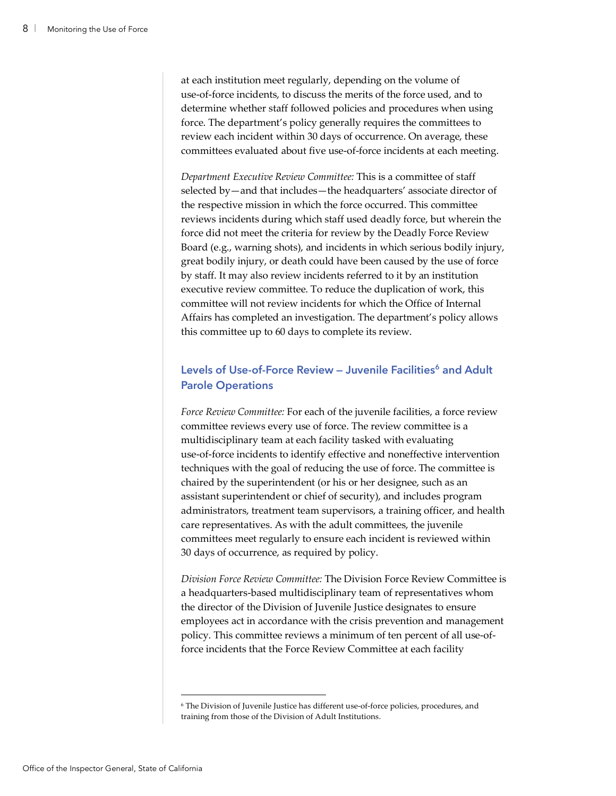at each institution meet regularly, depending on the volume of use-of-force incidents, to discuss the merits of the force used, and to determine whether staff followed policies and procedures when using force. The department's policy generally requires the committees to review each incident within 30 days of occurrence. On average, these committees evaluated about five use-of-force incidents at each meeting.

*Department Executive Review Committee:* This is a committee of staff selected by—and that includes—the headquarters' associate director of the respective mission in which the force occurred. This committee reviews incidents during which staff used deadly force, but wherein the force did not meet the criteria for review by the Deadly Force Review Board (e.g., warning shots), and incidents in which serious bodily injury, great bodily injury, or death could have been caused by the use of force by staff. It may also review incidents referred to it by an institution executive review committee. To reduce the duplication of work, this committee will not review incidents for which the Office of Internal Affairs has completed an investigation. The department's policy allows this committee up to 60 days to complete its review.

### **Levels of Use-of-Force Review - Juvenile Facilities<sup>6</sup> and Adult Parole Operations**

*Force Review Committee:* For each of the juvenile facilities, a force review committee reviews every use of force. The review committee is a multidisciplinary team at each facility tasked with evaluating use-of-force incidents to identify effective and noneffective intervention techniques with the goal of reducing the use of force. The committee is chaired by the superintendent (or his or her designee, such as an assistant superintendent or chief of security), and includes program administrators, treatment team supervisors, a training officer, and health care representatives. As with the adult committees, the juvenile committees meet regularly to ensure each incident is reviewed within 30 days of occurrence, as required by policy.

*Division Force Review Committee:* The Division Force Review Committee is a headquarters-based multidisciplinary team of representatives whom the director of the Division of Juvenile Justice designates to ensure employees act in accordance with the crisis prevention and management policy. This committee reviews a minimum of ten percent of all use-offorce incidents that the Force Review Committee at each facility

 <sup>6</sup> The Division of Juvenile Justice has different use-of-force policies, procedures, and training from those of the Division of Adult Institutions.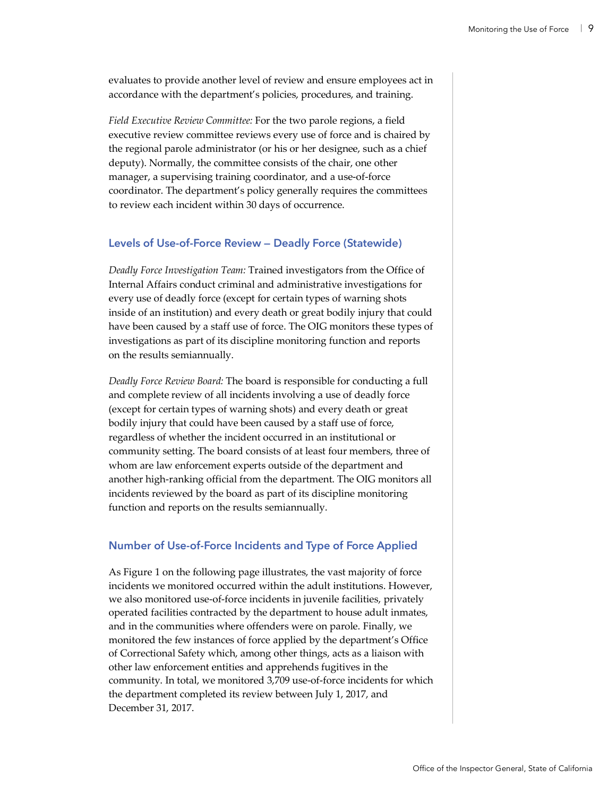evaluates to provide another level of review and ensure employees act in accordance with the department's policies, procedures, and training.

*Field Executive Review Committee:* For the two parole regions, a field executive review committee reviews every use of force and is chaired by the regional parole administrator (or his or her designee, such as a chief deputy). Normally, the committee consists of the chair, one other manager, a supervising training coordinator, and a use-of-force coordinator. The department's policy generally requires the committees to review each incident within 30 days of occurrence.

#### **Levels of Use-of-Force Review — Deadly Force (Statewide)**

*Deadly Force Investigation Team:* Trained investigators from the Office of Internal Affairs conduct criminal and administrative investigations for every use of deadly force (except for certain types of warning shots inside of an institution) and every death or great bodily injury that could have been caused by a staff use of force. The OIG monitors these types of investigations as part of its discipline monitoring function and reports on the results semiannually.

*Deadly Force Review Board:* The board is responsible for conducting a full and complete review of all incidents involving a use of deadly force (except for certain types of warning shots) and every death or great bodily injury that could have been caused by a staff use of force, regardless of whether the incident occurred in an institutional or community setting. The board consists of at least four members, three of whom are law enforcement experts outside of the department and another high-ranking official from the department. The OIG monitors all incidents reviewed by the board as part of its discipline monitoring function and reports on the results semiannually.

#### **Number of Use-of-Force Incidents and Type of Force Applied**

As Figure 1 on the following page illustrates, the vast majority of force incidents we monitored occurred within the adult institutions. However, we also monitored use-of-force incidents in juvenile facilities, privately operated facilities contracted by the department to house adult inmates, and in the communities where offenders were on parole. Finally, we monitored the few instances of force applied by the department's Office of Correctional Safety which, among other things, acts as a liaison with other law enforcement entities and apprehends fugitives in the community. In total, we monitored 3,709 use-of-force incidents for which the department completed its review between July 1, 2017, and December 31, 2017.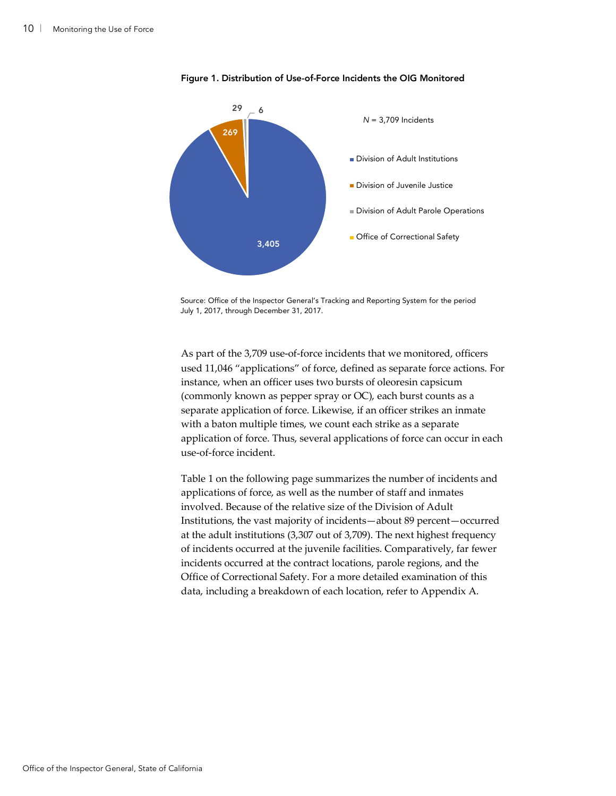

Figure 1. Distribution of Use-of-Force Incidents the OIG Monitored

Source: Office of the Inspector General's Tracking and Reporting System for the period July 1, 2017, through December 31, 2017.

As part of the 3,709 use-of-force incidents that we monitored, officers used 11,046 "applications" of force, defined as separate force actions. For instance, when an officer uses two bursts of oleoresin capsicum (commonly known as pepper spray or OC), each burst counts as a separate application of force. Likewise, if an officer strikes an inmate with a baton multiple times, we count each strike as a separate application of force. Thus, several applications of force can occur in each use-of-force incident.

Table 1 on the following page summarizes the number of incidents and applications of force, as well as the number of staff and inmates involved. Because of the relative size of the Division of Adult Institutions, the vast majority of incidents—about 89 percent—occurred at the adult institutions (3,307 out of 3,709). The next highest frequency of incidents occurred at the juvenile facilities. Comparatively, far fewer incidents occurred at the contract locations, parole regions, and the Office of Correctional Safety. For a more detailed examination of this data, including a breakdown of each location, refer to Appendix A.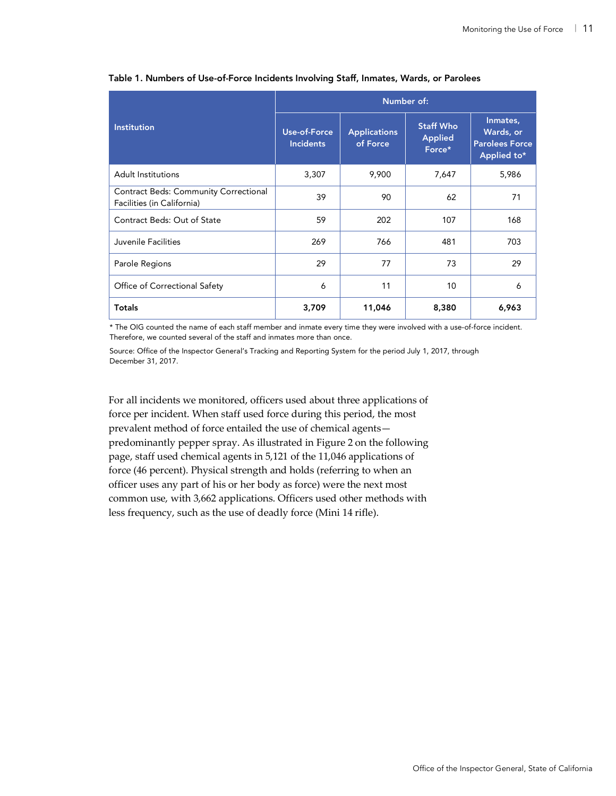|                                                                            | Number of:                       |                                 |                                              |                                                               |  |  |  |
|----------------------------------------------------------------------------|----------------------------------|---------------------------------|----------------------------------------------|---------------------------------------------------------------|--|--|--|
| <b>Institution</b>                                                         | Use-of-Force<br><b>Incidents</b> | <b>Applications</b><br>of Force | <b>Staff Who</b><br><b>Applied</b><br>Force* | Inmates,<br>Wards, or<br><b>Parolees Force</b><br>Applied to* |  |  |  |
| Adult Institutions                                                         | 3,307                            | 9,900                           | 7,647                                        | 5,986                                                         |  |  |  |
| <b>Contract Beds: Community Correctional</b><br>Facilities (in California) | 39                               | 90                              | 62                                           | 71                                                            |  |  |  |
| Contract Beds: Out of State                                                | 59                               | 202                             | 107                                          | 168                                                           |  |  |  |
| Juvenile Facilities                                                        | 269                              | 766                             | 481                                          | 703                                                           |  |  |  |
| Parole Regions                                                             | 29                               | 77                              | 73                                           | 29                                                            |  |  |  |
| Office of Correctional Safety                                              | 6                                | 11                              | 10                                           | 6                                                             |  |  |  |
| Totals                                                                     | 3,709                            | 11,046                          | 8,380                                        | 6,963                                                         |  |  |  |

#### Table 1. Numbers of Use-of-Force Incidents Involving Staff, Inmates, Wards, or Parolees

\* The OIG counted the name of each staff member and inmate every time they were involved with a use-of-force incident. Therefore, we counted several of the staff and inmates more than once.

Source: Office of the Inspector General's Tracking and Reporting System for the period July 1, 2017, through December 31, 2017.

For all incidents we monitored, officers used about three applications of force per incident. When staff used force during this period, the most prevalent method of force entailed the use of chemical agents predominantly pepper spray. As illustrated in Figure 2 on the following page, staff used chemical agents in 5,121 of the 11,046 applications of force (46 percent). Physical strength and holds (referring to when an officer uses any part of his or her body as force) were the next most common use, with 3,662 applications. Officers used other methods with less frequency, such as the use of deadly force (Mini 14 rifle).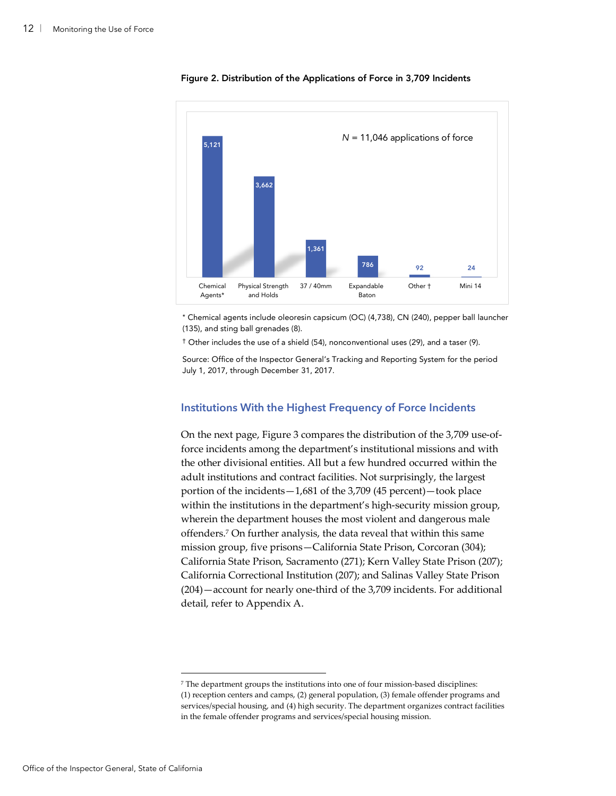

#### Figure 2. Distribution of the Applications of Force in 3,709 Incidents

\* Chemical agents include oleoresin capsicum (OC) (4,738), CN (240), pepper ball launcher (135), and sting ball grenades (8).

† Other includes the use of a shield (54), nonconventional uses (29), and a taser (9).

Source: Office of the Inspector General's Tracking and Reporting System for the period July 1, 2017, through December 31, 2017.

#### **Institutions With the Highest Frequency of Force Incidents**

On the next page, Figure 3 compares the distribution of the 3,709 use-offorce incidents among the department's institutional missions and with the other divisional entities. All but a few hundred occurred within the adult institutions and contract facilities. Not surprisingly, the largest portion of the incidents—1,681 of the 3,709 (45 percent)—took place within the institutions in the department's high-security mission group, wherein the department houses the most violent and dangerous male offenders.7 On further analysis, the data reveal that within this same mission group, five prisons—California State Prison, Corcoran (304); California State Prison, Sacramento (271); Kern Valley State Prison (207); California Correctional Institution (207); and Salinas Valley State Prison (204)—account for nearly one-third of the 3,709 incidents. For additional detail, refer to Appendix A.

 <sup>7</sup> The department groups the institutions into one of four mission-based disciplines: (1) reception centers and camps, (2) general population, (3) female offender programs and services/special housing, and (4) high security. The department organizes contract facilities in the female offender programs and services/special housing mission.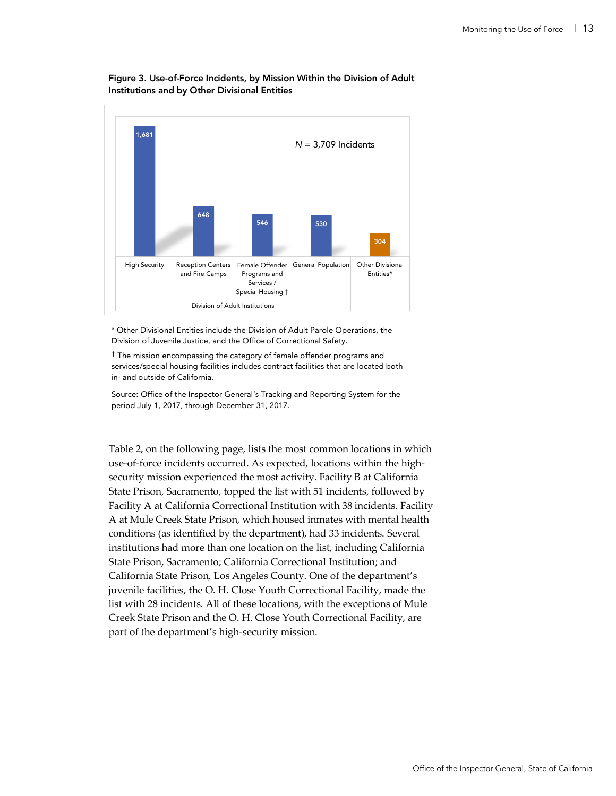

#### Figure 3. Use-of-Force Incidents, by Mission Within the Division of Adult Institutions and by Other Divisional Entities

\* Other Divisional Entities include the Division of Adult Parole Operations, the Division of Juvenile Justice, and the Office of Correctional Safety.

† The mission encompassing the category of female offender programs and services/special housing facilities includes contract facilities that are located both in- and outside of California.

Source: Office of the Inspector General's Tracking and Reporting System for the period July 1, 2017, through December 31, 2017.

Table 2, on the following page, lists the most common locations in which use-of-force incidents occurred. As expected, locations within the highsecurity mission experienced the most activity. Facility B at California State Prison, Sacramento, topped the list with 51 incidents, followed by Facility A at California Correctional Institution with 38 incidents. Facility A at Mule Creek State Prison, which housed inmates with mental health conditions (as identified by the department), had 33 incidents. Several institutions had more than one location on the list, including California State Prison, Sacramento; California Correctional Institution; and California State Prison, Los Angeles County. One of the department's juvenile facilities, the O. H. Close Youth Correctional Facility, made the list with 28 incidents. All of these locations, with the exceptions of Mule Creek State Prison and the O. H. Close Youth Correctional Facility, are part of the department's high-security mission.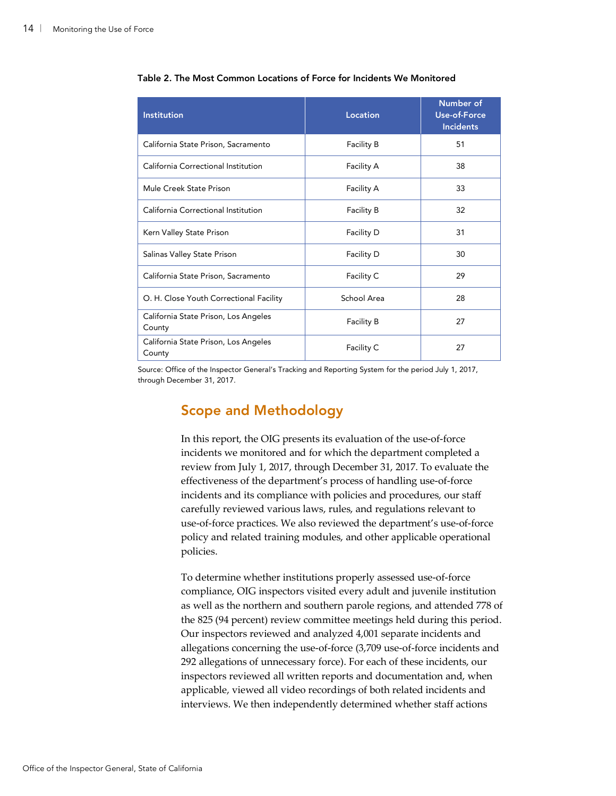| <b>Institution</b>                             | Location          | Number of<br><b>Use-of-Force</b><br><b>Incidents</b> |
|------------------------------------------------|-------------------|------------------------------------------------------|
| California State Prison, Sacramento            | Facility B        | 51                                                   |
| California Correctional Institution            | <b>Facility A</b> | 38                                                   |
| Mule Creek State Prison                        | Facility A        | 33                                                   |
| California Correctional Institution            | <b>Facility B</b> | 32                                                   |
| Kern Valley State Prison                       | Facility D        | 31                                                   |
| Salinas Valley State Prison                    | Facility D        | 30                                                   |
| California State Prison, Sacramento            | Facility C        | 29                                                   |
| O. H. Close Youth Correctional Facility        | School Area       | 28                                                   |
| California State Prison, Los Angeles<br>County | Facility B        | 27                                                   |
| California State Prison, Los Angeles<br>County | Facility C        | 27                                                   |

Table 2. The Most Common Locations of Force for Incidents We Monitored

Source: Office of the Inspector General's Tracking and Reporting System for the period July 1, 2017, through December 31, 2017.

### Scope and Methodology

In this report, the OIG presents its evaluation of the use-of-force incidents we monitored and for which the department completed a review from July 1, 2017, through December 31, 2017. To evaluate the effectiveness of the department's process of handling use-of-force incidents and its compliance with policies and procedures, our staff carefully reviewed various laws, rules, and regulations relevant to use-of-force practices. We also reviewed the department's use-of-force policy and related training modules, and other applicable operational policies.

To determine whether institutions properly assessed use-of-force compliance, OIG inspectors visited every adult and juvenile institution as well as the northern and southern parole regions, and attended 778 of the 825 (94 percent) review committee meetings held during this period. Our inspectors reviewed and analyzed 4,001 separate incidents and allegations concerning the use-of-force (3,709 use-of-force incidents and 292 allegations of unnecessary force). For each of these incidents, our inspectors reviewed all written reports and documentation and, when applicable, viewed all video recordings of both related incidents and interviews. We then independently determined whether staff actions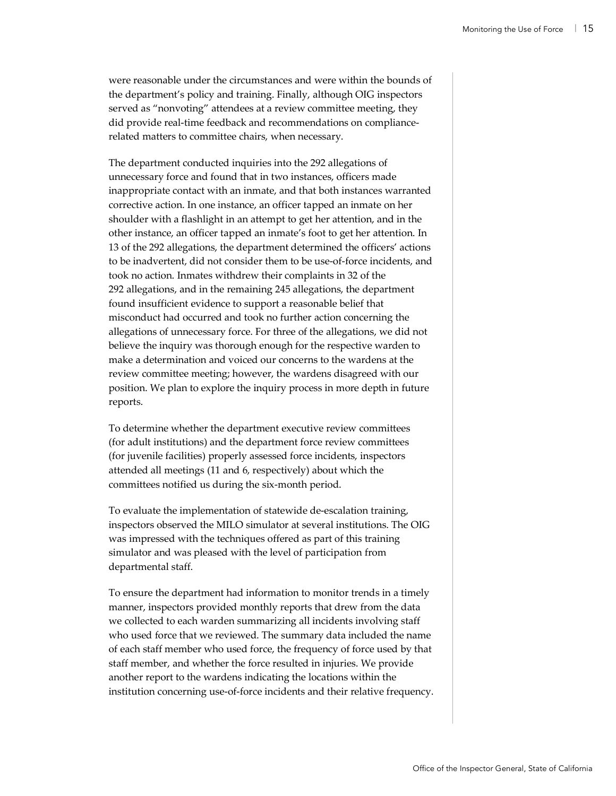were reasonable under the circumstances and were within the bounds of the department's policy and training. Finally, although OIG inspectors served as "nonvoting" attendees at a review committee meeting, they did provide real-time feedback and recommendations on compliancerelated matters to committee chairs, when necessary.

The department conducted inquiries into the 292 allegations of unnecessary force and found that in two instances, officers made inappropriate contact with an inmate, and that both instances warranted corrective action. In one instance, an officer tapped an inmate on her shoulder with a flashlight in an attempt to get her attention, and in the other instance, an officer tapped an inmate's foot to get her attention. In 13 of the 292 allegations, the department determined the officers' actions to be inadvertent, did not consider them to be use-of-force incidents, and took no action. Inmates withdrew their complaints in 32 of the 292 allegations, and in the remaining 245 allegations, the department found insufficient evidence to support a reasonable belief that misconduct had occurred and took no further action concerning the allegations of unnecessary force. For three of the allegations, we did not believe the inquiry was thorough enough for the respective warden to make a determination and voiced our concerns to the wardens at the review committee meeting; however, the wardens disagreed with our position. We plan to explore the inquiry process in more depth in future reports.

To determine whether the department executive review committees (for adult institutions) and the department force review committees (for juvenile facilities) properly assessed force incidents, inspectors attended all meetings (11 and 6, respectively) about which the committees notified us during the six-month period.

To evaluate the implementation of statewide de-escalation training, inspectors observed the MILO simulator at several institutions. The OIG was impressed with the techniques offered as part of this training simulator and was pleased with the level of participation from departmental staff.

To ensure the department had information to monitor trends in a timely manner, inspectors provided monthly reports that drew from the data we collected to each warden summarizing all incidents involving staff who used force that we reviewed. The summary data included the name of each staff member who used force, the frequency of force used by that staff member, and whether the force resulted in injuries. We provide another report to the wardens indicating the locations within the institution concerning use-of-force incidents and their relative frequency.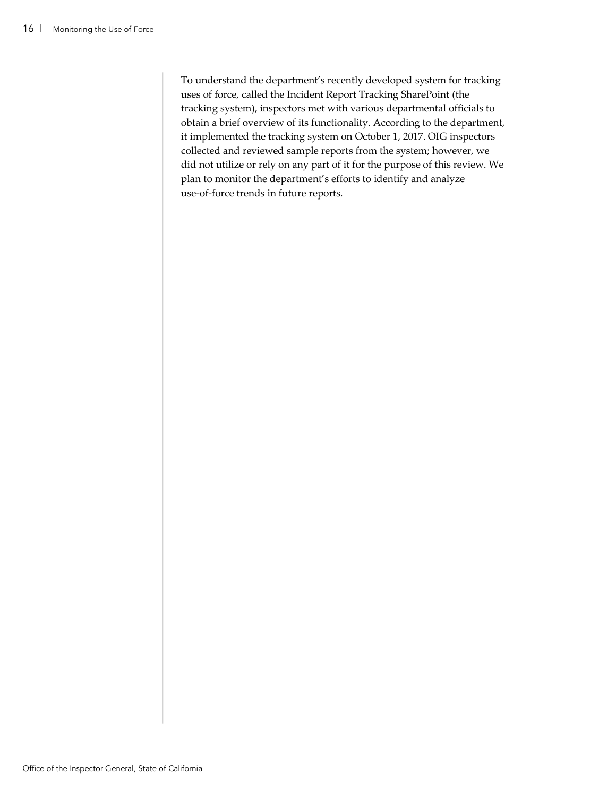To understand the department's recently developed system for tracking uses of force, called the Incident Report Tracking SharePoint (the tracking system), inspectors met with various departmental officials to obtain a brief overview of its functionality. According to the department, it implemented the tracking system on October 1, 2017. OIG inspectors collected and reviewed sample reports from the system; however, we did not utilize or rely on any part of it for the purpose of this review. We plan to monitor the department's efforts to identify and analyze use-of-force trends in future reports.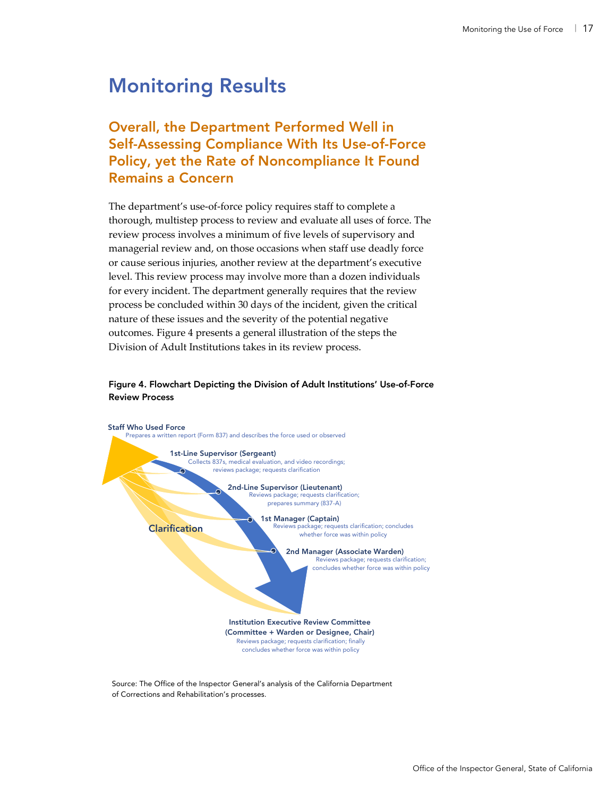## Monitoring Results

## Overall, the Department Performed Well in Self-Assessing Compliance With Its Use-of-Force Policy, yet the Rate of Noncompliance It Found Remains a Concern

The department's use-of-force policy requires staff to complete a thorough, multistep process to review and evaluate all uses of force. The review process involves a minimum of five levels of supervisory and managerial review and, on those occasions when staff use deadly force or cause serious injuries, another review at the department's executive level. This review process may involve more than a dozen individuals for every incident. The department generally requires that the review process be concluded within 30 days of the incident, given the critical nature of these issues and the severity of the potential negative outcomes. Figure 4 presents a general illustration of the steps the Division of Adult Institutions takes in its review process.

#### Figure 4. Flowchart Depicting the Division of Adult Institutions' Use-of-Force Review Process



Source: The Office of the Inspector General's analysis of the California Department of Corrections and Rehabilitation's processes.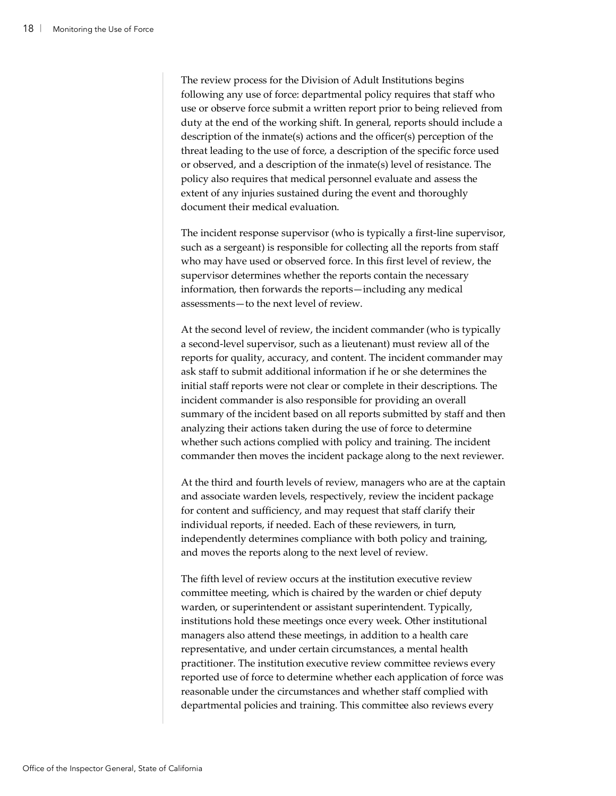The review process for the Division of Adult Institutions begins following any use of force: departmental policy requires that staff who use or observe force submit a written report prior to being relieved from duty at the end of the working shift. In general, reports should include a description of the inmate(s) actions and the officer(s) perception of the threat leading to the use of force, a description of the specific force used or observed, and a description of the inmate(s) level of resistance. The policy also requires that medical personnel evaluate and assess the extent of any injuries sustained during the event and thoroughly document their medical evaluation.

The incident response supervisor (who is typically a first-line supervisor, such as a sergeant) is responsible for collecting all the reports from staff who may have used or observed force. In this first level of review, the supervisor determines whether the reports contain the necessary information, then forwards the reports—including any medical assessments—to the next level of review.

At the second level of review, the incident commander (who is typically a second-level supervisor, such as a lieutenant) must review all of the reports for quality, accuracy, and content. The incident commander may ask staff to submit additional information if he or she determines the initial staff reports were not clear or complete in their descriptions. The incident commander is also responsible for providing an overall summary of the incident based on all reports submitted by staff and then analyzing their actions taken during the use of force to determine whether such actions complied with policy and training. The incident commander then moves the incident package along to the next reviewer.

At the third and fourth levels of review, managers who are at the captain and associate warden levels, respectively, review the incident package for content and sufficiency, and may request that staff clarify their individual reports, if needed. Each of these reviewers, in turn, independently determines compliance with both policy and training, and moves the reports along to the next level of review.

The fifth level of review occurs at the institution executive review committee meeting, which is chaired by the warden or chief deputy warden, or superintendent or assistant superintendent. Typically, institutions hold these meetings once every week. Other institutional managers also attend these meetings, in addition to a health care representative, and under certain circumstances, a mental health practitioner. The institution executive review committee reviews every reported use of force to determine whether each application of force was reasonable under the circumstances and whether staff complied with departmental policies and training. This committee also reviews every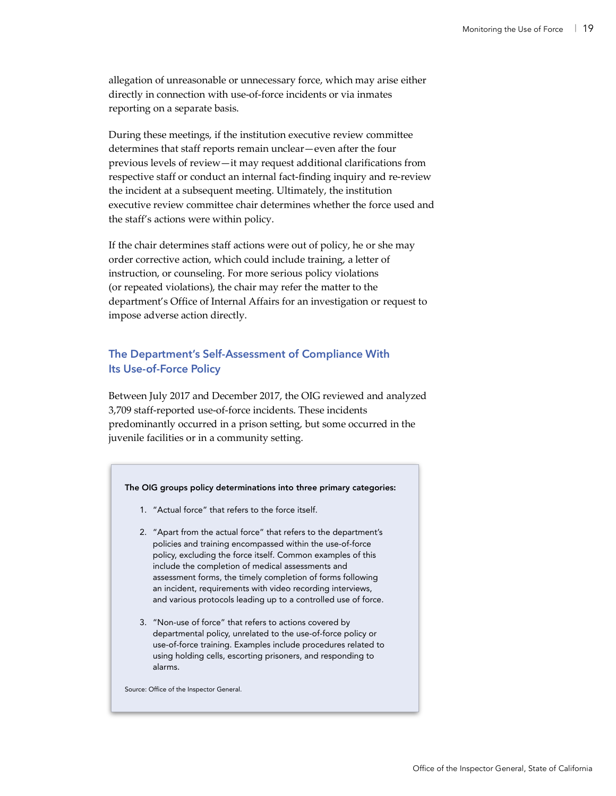allegation of unreasonable or unnecessary force, which may arise either directly in connection with use-of-force incidents or via inmates reporting on a separate basis.

During these meetings, if the institution executive review committee determines that staff reports remain unclear—even after the four previous levels of review—it may request additional clarifications from respective staff or conduct an internal fact-finding inquiry and re-review the incident at a subsequent meeting. Ultimately, the institution executive review committee chair determines whether the force used and the staff's actions were within policy.

If the chair determines staff actions were out of policy, he or she may order corrective action, which could include training, a letter of instruction, or counseling. For more serious policy violations (or repeated violations), the chair may refer the matter to the department's Office of Internal Affairs for an investigation or request to impose adverse action directly.

### **The Department's Self-Assessment of Compliance With Its Use-of-Force Policy**

Between July 2017 and December 2017, the OIG reviewed and analyzed 3,709 staff-reported use-of-force incidents. These incidents predominantly occurred in a prison setting, but some occurred in the juvenile facilities or in a community setting.

#### The OIG groups policy determinations into three primary categories:

- 1. "Actual force" that refers to the force itself.
- 2. "Apart from the actual force" that refers to the department's policies and training encompassed within the use-of-force policy, excluding the force itself. Common examples of this include the completion of medical assessments and assessment forms, the timely completion of forms following an incident, requirements with video recording interviews, and various protocols leading up to a controlled use of force.
- 3. "Non-use of force" that refers to actions covered by departmental policy, unrelated to the use-of-force policy or use-of-force training. Examples include procedures related to using holding cells, escorting prisoners, and responding to alarms.

Source: Office of the Inspector General.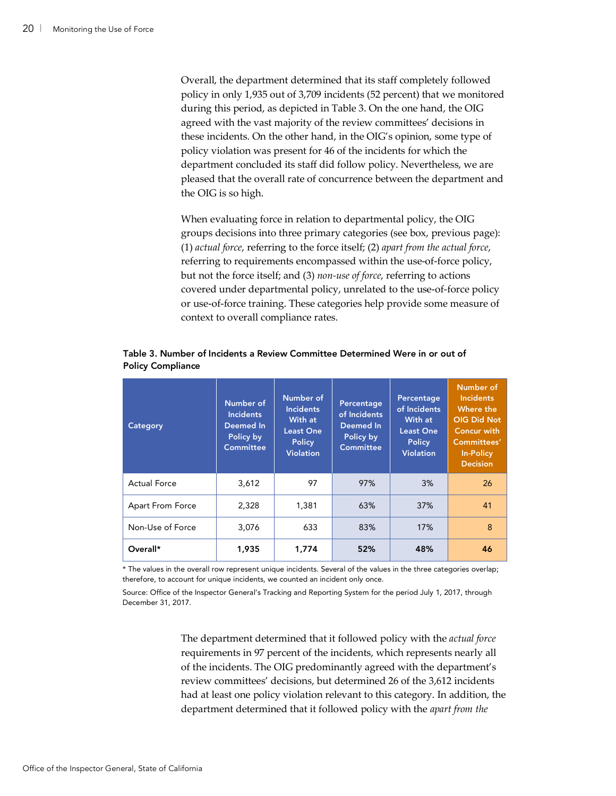Overall, the department determined that its staff completely followed policy in only 1,935 out of 3,709 incidents (52 percent) that we monitored during this period, as depicted in Table 3. On the one hand, the OIG agreed with the vast majority of the review committees' decisions in these incidents. On the other hand, in the OIG's opinion, some type of policy violation was present for 46 of the incidents for which the department concluded its staff did follow policy. Nevertheless, we are pleased that the overall rate of concurrence between the department and the OIG is so high.

When evaluating force in relation to departmental policy, the OIG groups decisions into three primary categories (see box, previous page): (1) *actual force*, referring to the force itself; (2) *apart from the actual force*, referring to requirements encompassed within the use-of-force policy, but not the force itself; and (3) *non-use of force*, referring to actions covered under departmental policy, unrelated to the use-of-force policy or use-of-force training. These categories help provide some measure of context to overall compliance rates.

| Category            | Number of<br><b>Incidents</b><br>Deemed In<br>Policy by<br><b>Committee</b> | Number of<br><b>Incidents</b><br>With at<br><b>Least One</b><br><b>Policy</b><br><b>Violation</b> | Percentage<br>of Incidents<br>Deemed In<br>Policy by<br><b>Committee</b> | Percentage<br>of Incidents<br>With at<br><b>Least One</b><br><b>Policy</b><br><b>Violation</b> | Number of<br><b>Incidents</b><br>Where the<br>OIG Did Not<br><b>Concur with</b><br>Committees'<br><b>In-Policy</b><br><b>Decision</b> |
|---------------------|-----------------------------------------------------------------------------|---------------------------------------------------------------------------------------------------|--------------------------------------------------------------------------|------------------------------------------------------------------------------------------------|---------------------------------------------------------------------------------------------------------------------------------------|
| <b>Actual Force</b> | 3,612                                                                       | 97                                                                                                | 97%                                                                      | 3%                                                                                             | 26                                                                                                                                    |
| Apart From Force    | 2,328                                                                       | 1,381                                                                                             | 63%                                                                      | 37%                                                                                            | 41                                                                                                                                    |
| Non-Use of Force    | 3,076                                                                       | 633                                                                                               | 83%                                                                      | 17%                                                                                            | 8                                                                                                                                     |
| Overall*            | 1,935                                                                       | 1.774                                                                                             | 52%                                                                      | 48%                                                                                            | 46                                                                                                                                    |

Table 3. Number of Incidents a Review Committee Determined Were in or out of Policy Compliance

\* The values in the overall row represent unique incidents. Several of the values in the three categories overlap; therefore, to account for unique incidents, we counted an incident only once.

Source: Office of the Inspector General's Tracking and Reporting System for the period July 1, 2017, through December 31, 2017.

> The department determined that it followed policy with the *actual force* requirements in 97 percent of the incidents, which represents nearly all of the incidents. The OIG predominantly agreed with the department's review committees' decisions, but determined 26 of the 3,612 incidents had at least one policy violation relevant to this category. In addition, the department determined that it followed policy with the *apart from the*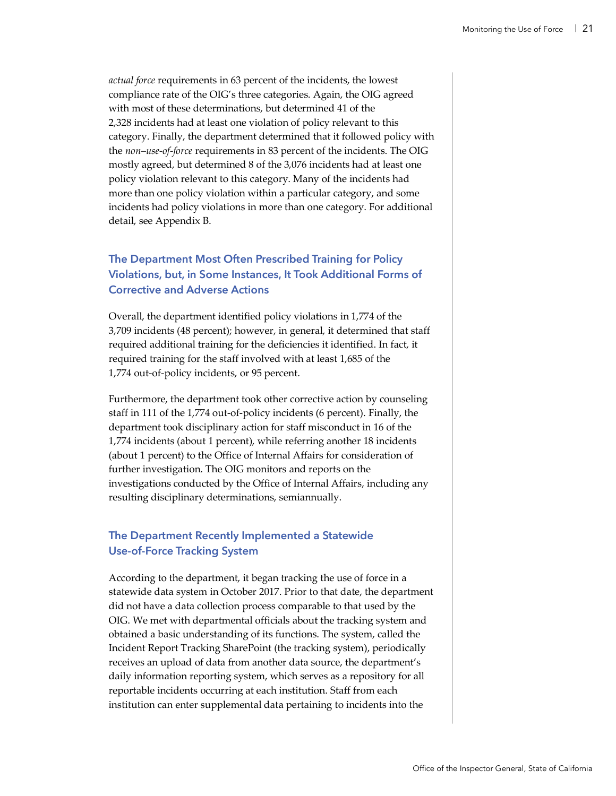*actual force* requirements in 63 percent of the incidents, the lowest compliance rate of the OIG's three categories. Again, the OIG agreed with most of these determinations, but determined 41 of the 2,328 incidents had at least one violation of policy relevant to this category. Finally, the department determined that it followed policy with the *non–use-of-force* requirements in 83 percent of the incidents. The OIG mostly agreed, but determined 8 of the 3,076 incidents had at least one policy violation relevant to this category. Many of the incidents had more than one policy violation within a particular category, and some incidents had policy violations in more than one category. For additional detail, see Appendix B.

### **The Department Most Often Prescribed Training for Policy Violations, but, in Some Instances, It Took Additional Forms of Corrective and Adverse Actions**

Overall, the department identified policy violations in 1,774 of the 3,709 incidents (48 percent); however, in general, it determined that staff required additional training for the deficiencies it identified. In fact, it required training for the staff involved with at least 1,685 of the 1,774 out-of-policy incidents, or 95 percent.

Furthermore, the department took other corrective action by counseling staff in 111 of the 1,774 out-of-policy incidents (6 percent). Finally, the department took disciplinary action for staff misconduct in 16 of the 1,774 incidents (about 1 percent), while referring another 18 incidents (about 1 percent) to the Office of Internal Affairs for consideration of further investigation. The OIG monitors and reports on the investigations conducted by the Office of Internal Affairs, including any resulting disciplinary determinations, semiannually.

### **The Department Recently Implemented a Statewide Use-of-Force Tracking System**

According to the department, it began tracking the use of force in a statewide data system in October 2017. Prior to that date, the department did not have a data collection process comparable to that used by the OIG. We met with departmental officials about the tracking system and obtained a basic understanding of its functions. The system, called the Incident Report Tracking SharePoint (the tracking system), periodically receives an upload of data from another data source, the department's daily information reporting system, which serves as a repository for all reportable incidents occurring at each institution. Staff from each institution can enter supplemental data pertaining to incidents into the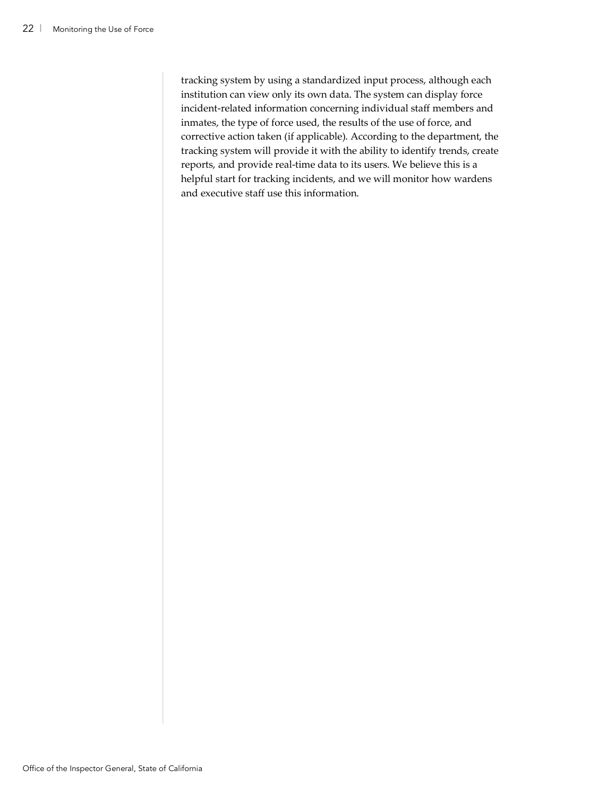tracking system by using a standardized input process, although each institution can view only its own data. The system can display force incident-related information concerning individual staff members and inmates, the type of force used, the results of the use of force, and corrective action taken (if applicable). According to the department, the tracking system will provide it with the ability to identify trends, create reports, and provide real-time data to its users. We believe this is a helpful start for tracking incidents, and we will monitor how wardens and executive staff use this information.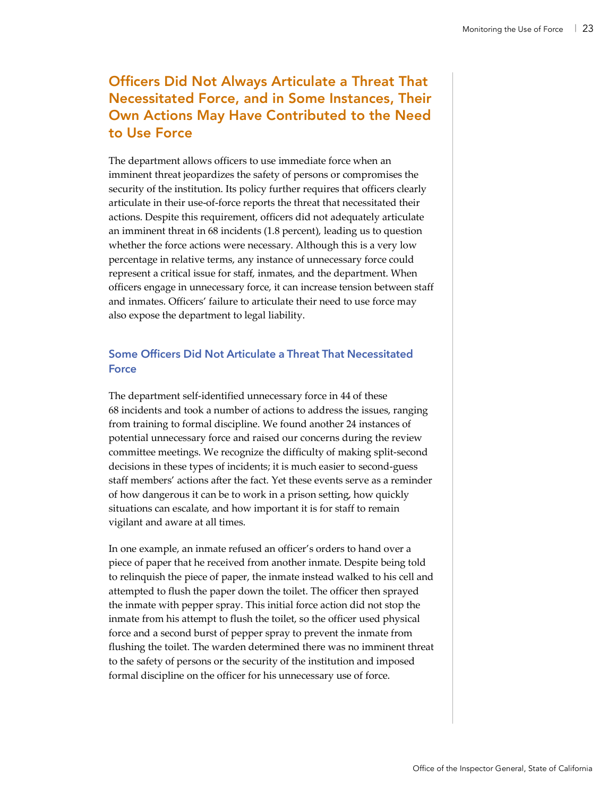## Officers Did Not Always Articulate a Threat That Necessitated Force, and in Some Instances, Their Own Actions May Have Contributed to the Need to Use Force

The department allows officers to use immediate force when an imminent threat jeopardizes the safety of persons or compromises the security of the institution. Its policy further requires that officers clearly articulate in their use-of-force reports the threat that necessitated their actions. Despite this requirement, officers did not adequately articulate an imminent threat in 68 incidents (1.8 percent), leading us to question whether the force actions were necessary. Although this is a very low percentage in relative terms, any instance of unnecessary force could represent a critical issue for staff, inmates, and the department. When officers engage in unnecessary force, it can increase tension between staff and inmates. Officers' failure to articulate their need to use force may also expose the department to legal liability.

### **Some Officers Did Not Articulate a Threat That Necessitated Force**

The department self-identified unnecessary force in 44 of these 68 incidents and took a number of actions to address the issues, ranging from training to formal discipline. We found another 24 instances of potential unnecessary force and raised our concerns during the review committee meetings. We recognize the difficulty of making split-second decisions in these types of incidents; it is much easier to second-guess staff members' actions after the fact. Yet these events serve as a reminder of how dangerous it can be to work in a prison setting, how quickly situations can escalate, and how important it is for staff to remain vigilant and aware at all times.

In one example, an inmate refused an officer's orders to hand over a piece of paper that he received from another inmate. Despite being told to relinquish the piece of paper, the inmate instead walked to his cell and attempted to flush the paper down the toilet. The officer then sprayed the inmate with pepper spray. This initial force action did not stop the inmate from his attempt to flush the toilet, so the officer used physical force and a second burst of pepper spray to prevent the inmate from flushing the toilet. The warden determined there was no imminent threat to the safety of persons or the security of the institution and imposed formal discipline on the officer for his unnecessary use of force.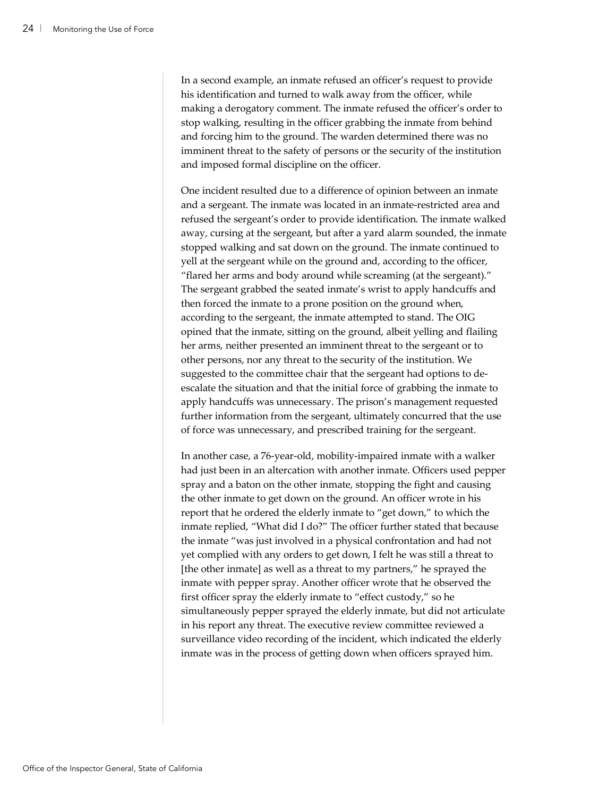In a second example, an inmate refused an officer's request to provide his identification and turned to walk away from the officer, while making a derogatory comment. The inmate refused the officer's order to stop walking, resulting in the officer grabbing the inmate from behind and forcing him to the ground. The warden determined there was no imminent threat to the safety of persons or the security of the institution and imposed formal discipline on the officer.

One incident resulted due to a difference of opinion between an inmate and a sergeant. The inmate was located in an inmate-restricted area and refused the sergeant's order to provide identification. The inmate walked away, cursing at the sergeant, but after a yard alarm sounded, the inmate stopped walking and sat down on the ground. The inmate continued to yell at the sergeant while on the ground and, according to the officer, "flared her arms and body around while screaming (at the sergeant)." The sergeant grabbed the seated inmate's wrist to apply handcuffs and then forced the inmate to a prone position on the ground when, according to the sergeant, the inmate attempted to stand. The OIG opined that the inmate, sitting on the ground, albeit yelling and flailing her arms, neither presented an imminent threat to the sergeant or to other persons, nor any threat to the security of the institution. We suggested to the committee chair that the sergeant had options to deescalate the situation and that the initial force of grabbing the inmate to apply handcuffs was unnecessary. The prison's management requested further information from the sergeant, ultimately concurred that the use of force was unnecessary, and prescribed training for the sergeant.

In another case, a 76-year-old, mobility-impaired inmate with a walker had just been in an altercation with another inmate. Officers used pepper spray and a baton on the other inmate, stopping the fight and causing the other inmate to get down on the ground. An officer wrote in his report that he ordered the elderly inmate to "get down," to which the inmate replied, "What did I do?" The officer further stated that because the inmate "was just involved in a physical confrontation and had not yet complied with any orders to get down, I felt he was still a threat to [the other inmate] as well as a threat to my partners," he sprayed the inmate with pepper spray. Another officer wrote that he observed the first officer spray the elderly inmate to "effect custody," so he simultaneously pepper sprayed the elderly inmate, but did not articulate in his report any threat. The executive review committee reviewed a surveillance video recording of the incident, which indicated the elderly inmate was in the process of getting down when officers sprayed him.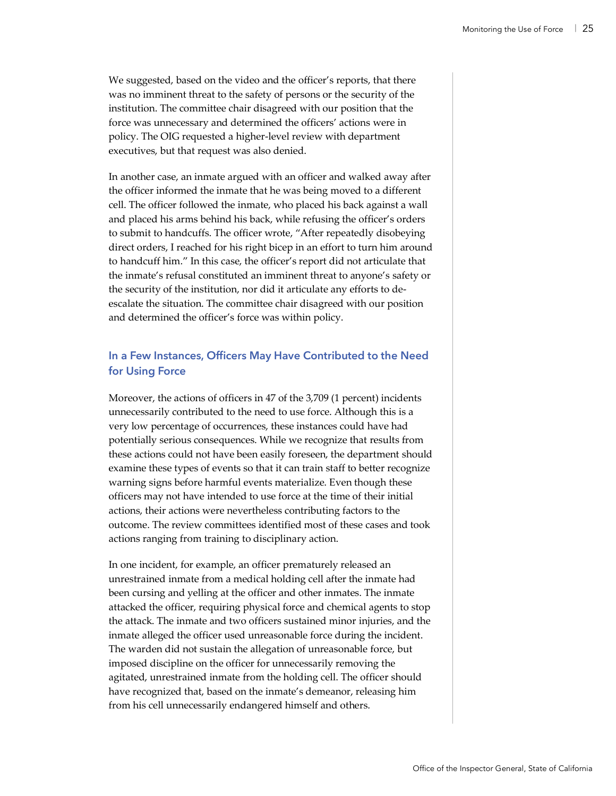We suggested, based on the video and the officer's reports, that there was no imminent threat to the safety of persons or the security of the institution. The committee chair disagreed with our position that the force was unnecessary and determined the officers' actions were in policy. The OIG requested a higher-level review with department executives, but that request was also denied.

In another case, an inmate argued with an officer and walked away after the officer informed the inmate that he was being moved to a different cell. The officer followed the inmate, who placed his back against a wall and placed his arms behind his back, while refusing the officer's orders to submit to handcuffs. The officer wrote, "After repeatedly disobeying direct orders, I reached for his right bicep in an effort to turn him around to handcuff him." In this case, the officer's report did not articulate that the inmate's refusal constituted an imminent threat to anyone's safety or the security of the institution, nor did it articulate any efforts to deescalate the situation. The committee chair disagreed with our position and determined the officer's force was within policy.

### **In a Few Instances, Officers May Have Contributed to the Need for Using Force**

Moreover, the actions of officers in 47 of the 3,709 (1 percent) incidents unnecessarily contributed to the need to use force. Although this is a very low percentage of occurrences, these instances could have had potentially serious consequences. While we recognize that results from these actions could not have been easily foreseen, the department should examine these types of events so that it can train staff to better recognize warning signs before harmful events materialize. Even though these officers may not have intended to use force at the time of their initial actions, their actions were nevertheless contributing factors to the outcome. The review committees identified most of these cases and took actions ranging from training to disciplinary action.

In one incident, for example, an officer prematurely released an unrestrained inmate from a medical holding cell after the inmate had been cursing and yelling at the officer and other inmates. The inmate attacked the officer, requiring physical force and chemical agents to stop the attack. The inmate and two officers sustained minor injuries, and the inmate alleged the officer used unreasonable force during the incident. The warden did not sustain the allegation of unreasonable force, but imposed discipline on the officer for unnecessarily removing the agitated, unrestrained inmate from the holding cell. The officer should have recognized that, based on the inmate's demeanor, releasing him from his cell unnecessarily endangered himself and others.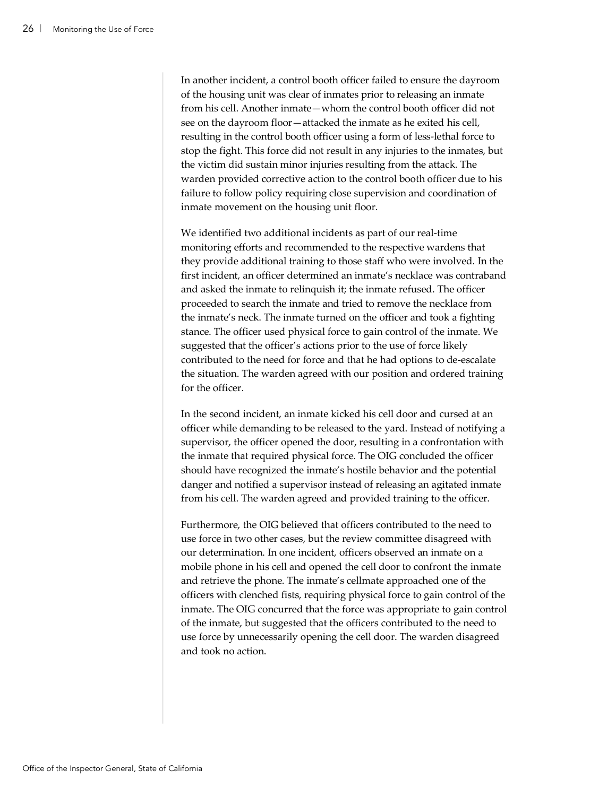In another incident, a control booth officer failed to ensure the dayroom of the housing unit was clear of inmates prior to releasing an inmate from his cell. Another inmate—whom the control booth officer did not see on the dayroom floor—attacked the inmate as he exited his cell, resulting in the control booth officer using a form of less-lethal force to stop the fight. This force did not result in any injuries to the inmates, but the victim did sustain minor injuries resulting from the attack. The warden provided corrective action to the control booth officer due to his failure to follow policy requiring close supervision and coordination of inmate movement on the housing unit floor.

We identified two additional incidents as part of our real-time monitoring efforts and recommended to the respective wardens that they provide additional training to those staff who were involved. In the first incident, an officer determined an inmate's necklace was contraband and asked the inmate to relinquish it; the inmate refused. The officer proceeded to search the inmate and tried to remove the necklace from the inmate's neck. The inmate turned on the officer and took a fighting stance. The officer used physical force to gain control of the inmate. We suggested that the officer's actions prior to the use of force likely contributed to the need for force and that he had options to de-escalate the situation. The warden agreed with our position and ordered training for the officer.

In the second incident, an inmate kicked his cell door and cursed at an officer while demanding to be released to the yard. Instead of notifying a supervisor, the officer opened the door, resulting in a confrontation with the inmate that required physical force. The OIG concluded the officer should have recognized the inmate's hostile behavior and the potential danger and notified a supervisor instead of releasing an agitated inmate from his cell. The warden agreed and provided training to the officer.

Furthermore, the OIG believed that officers contributed to the need to use force in two other cases, but the review committee disagreed with our determination. In one incident, officers observed an inmate on a mobile phone in his cell and opened the cell door to confront the inmate and retrieve the phone. The inmate's cellmate approached one of the officers with clenched fists, requiring physical force to gain control of the inmate. The OIG concurred that the force was appropriate to gain control of the inmate, but suggested that the officers contributed to the need to use force by unnecessarily opening the cell door. The warden disagreed and took no action.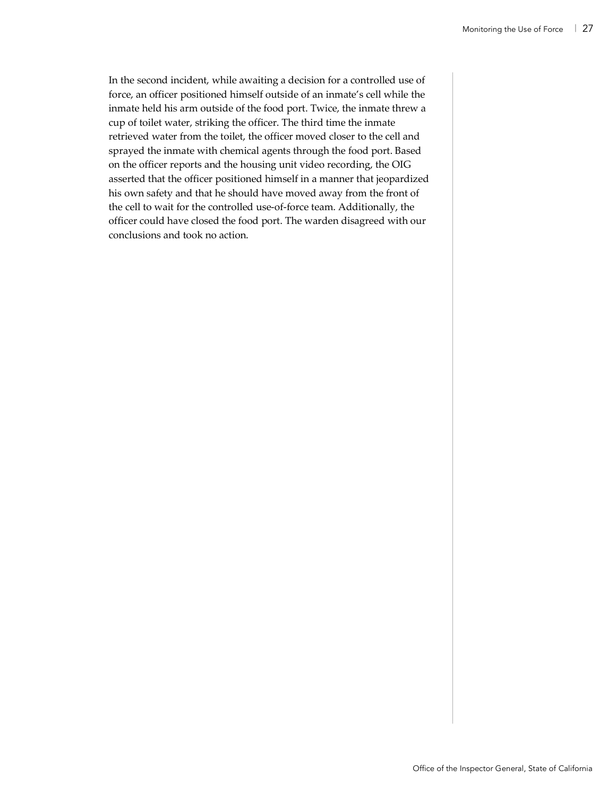In the second incident, while awaiting a decision for a controlled use of force, an officer positioned himself outside of an inmate's cell while the inmate held his arm outside of the food port. Twice, the inmate threw a cup of toilet water, striking the officer. The third time the inmate retrieved water from the toilet, the officer moved closer to the cell and sprayed the inmate with chemical agents through the food port. Based on the officer reports and the housing unit video recording, the OIG asserted that the officer positioned himself in a manner that jeopardized his own safety and that he should have moved away from the front of the cell to wait for the controlled use-of-force team. Additionally, the officer could have closed the food port. The warden disagreed with our conclusions and took no action.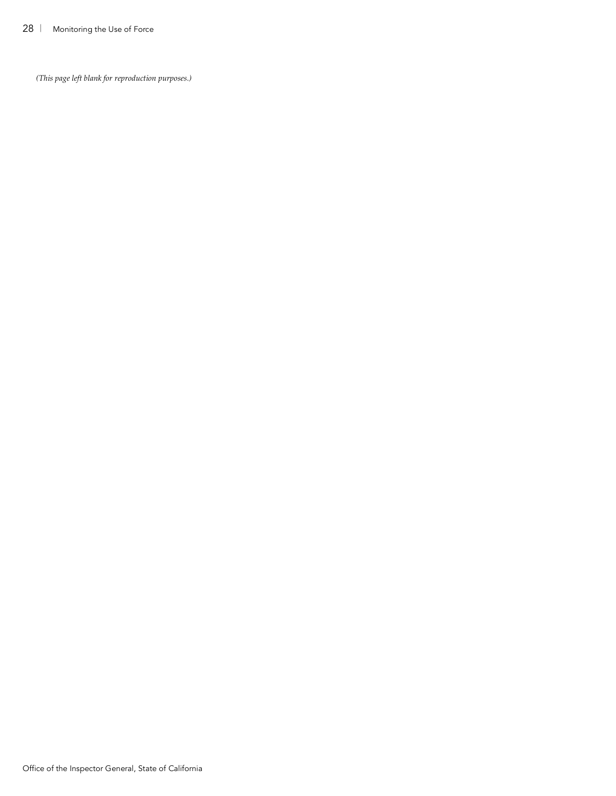*(This page left blank for reproduction purposes.)*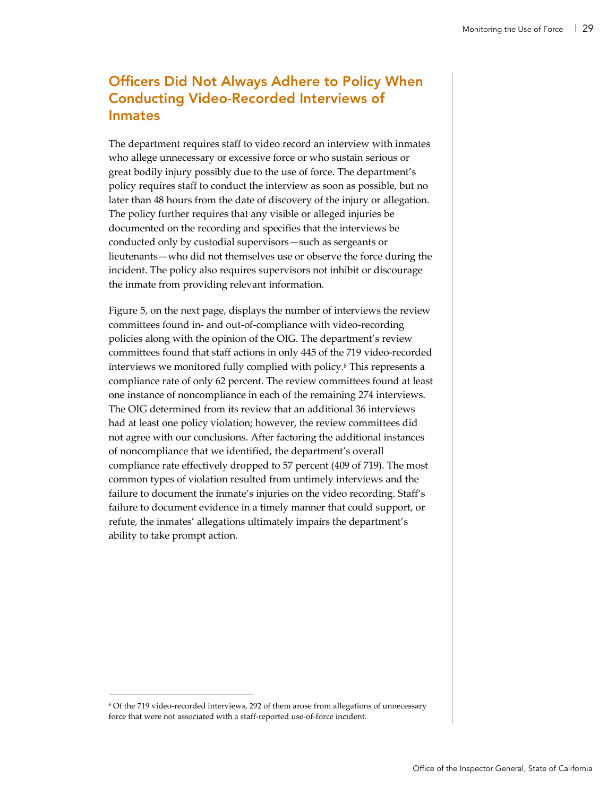## Officers Did Not Always Adhere to Policy When Conducting Video-Recorded Interviews of Inmates

The department requires staff to video record an interview with inmates who allege unnecessary or excessive force or who sustain serious or great bodily injury possibly due to the use of force. The department's policy requires staff to conduct the interview as soon as possible, but no later than 48 hours from the date of discovery of the injury or allegation. The policy further requires that any visible or alleged injuries be documented on the recording and specifies that the interviews be conducted only by custodial supervisors—such as sergeants or lieutenants—who did not themselves use or observe the force during the incident. The policy also requires supervisors not inhibit or discourage the inmate from providing relevant information.

Figure 5, on the next page, displays the number of interviews the review committees found in- and out-of-compliance with video-recording policies along with the opinion of the OIG. The department's review committees found that staff actions in only 445 of the 719 video-recorded interviews we monitored fully complied with policy.8 This represents a compliance rate of only 62 percent. The review committees found at least one instance of noncompliance in each of the remaining 274 interviews. The OIG determined from its review that an additional 36 interviews had at least one policy violation; however, the review committees did not agree with our conclusions. After factoring the additional instances of noncompliance that we identified, the department's overall compliance rate effectively dropped to 57 percent (409 of 719). The most common types of violation resulted from untimely interviews and the failure to document the inmate's injuries on the video recording. Staff's failure to document evidence in a timely manner that could support, or refute, the inmates' allegations ultimately impairs the department's ability to take prompt action.

 <sup>8</sup> Of the 719 video-recorded interviews, 292 of them arose from allegations of unnecessary force that were not associated with a staff-reported use-of-force incident.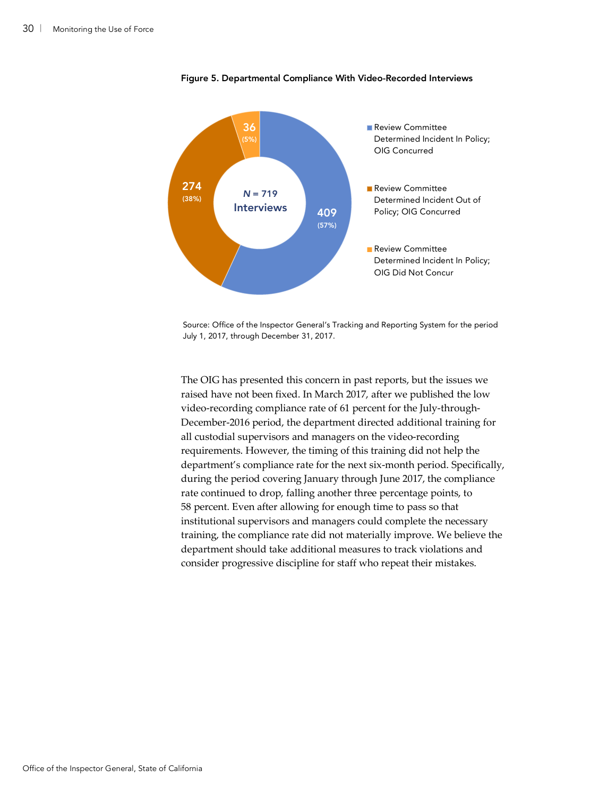

Figure 5. Departmental Compliance With Video-Recorded Interviews

Source: Office of the Inspector General's Tracking and Reporting System for the period July 1, 2017, through December 31, 2017.

The OIG has presented this concern in past reports, but the issues we raised have not been fixed. In March 2017, after we published the low video-recording compliance rate of 61 percent for the July-through-December-2016 period, the department directed additional training for all custodial supervisors and managers on the video-recording requirements. However, the timing of this training did not help the department's compliance rate for the next six-month period. Specifically, during the period covering January through June 2017, the compliance rate continued to drop, falling another three percentage points, to 58 percent. Even after allowing for enough time to pass so that institutional supervisors and managers could complete the necessary training, the compliance rate did not materially improve. We believe the department should take additional measures to track violations and consider progressive discipline for staff who repeat their mistakes.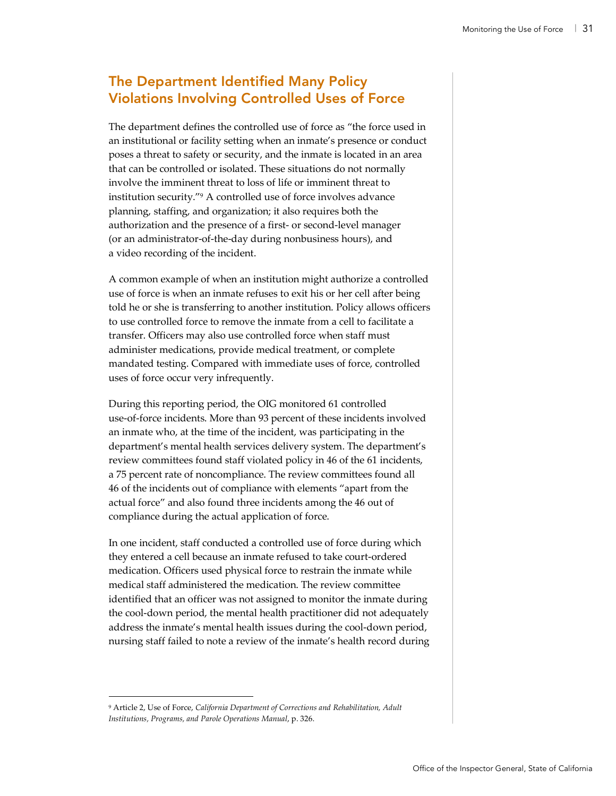## The Department Identified Many Policy Violations Involving Controlled Uses of Force

The department defines the controlled use of force as "the force used in an institutional or facility setting when an inmate's presence or conduct poses a threat to safety or security, and the inmate is located in an area that can be controlled or isolated. These situations do not normally involve the imminent threat to loss of life or imminent threat to institution security."9 A controlled use of force involves advance planning, staffing, and organization; it also requires both the authorization and the presence of a first- or second-level manager (or an administrator-of-the-day during nonbusiness hours), and a video recording of the incident.

A common example of when an institution might authorize a controlled use of force is when an inmate refuses to exit his or her cell after being told he or she is transferring to another institution. Policy allows officers to use controlled force to remove the inmate from a cell to facilitate a transfer. Officers may also use controlled force when staff must administer medications, provide medical treatment, or complete mandated testing. Compared with immediate uses of force, controlled uses of force occur very infrequently.

During this reporting period, the OIG monitored 61 controlled use-of-force incidents. More than 93 percent of these incidents involved an inmate who, at the time of the incident, was participating in the department's mental health services delivery system. The department's review committees found staff violated policy in 46 of the 61 incidents, a 75 percent rate of noncompliance. The review committees found all 46 of the incidents out of compliance with elements "apart from the actual force" and also found three incidents among the 46 out of compliance during the actual application of force.

In one incident, staff conducted a controlled use of force during which they entered a cell because an inmate refused to take court-ordered medication. Officers used physical force to restrain the inmate while medical staff administered the medication. The review committee identified that an officer was not assigned to monitor the inmate during the cool-down period, the mental health practitioner did not adequately address the inmate's mental health issues during the cool-down period, nursing staff failed to note a review of the inmate's health record during

 <sup>9</sup> Article 2, Use of Force, *California Department of Corrections and Rehabilitation, Adult Institutions, Programs, and Parole Operations Manual*, p. 326.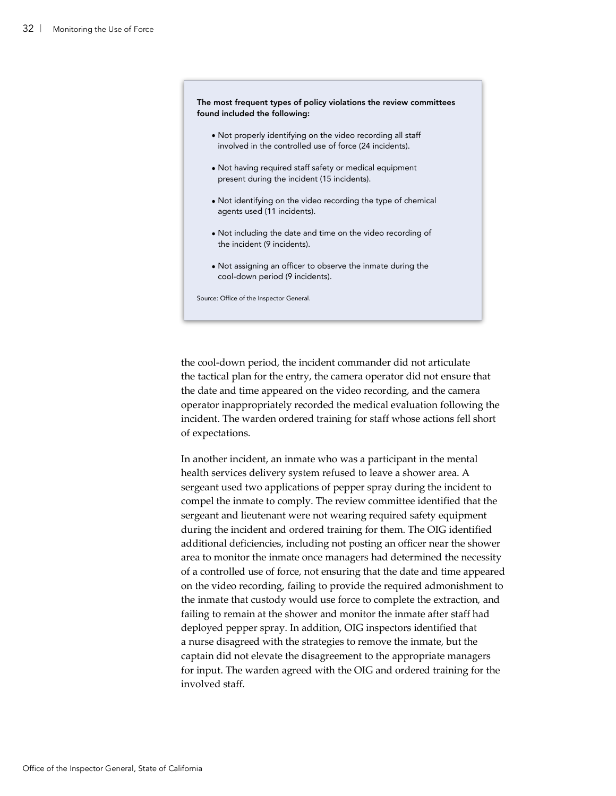

the cool-down period, the incident commander did not articulate the tactical plan for the entry, the camera operator did not ensure that the date and time appeared on the video recording, and the camera operator inappropriately recorded the medical evaluation following the incident. The warden ordered training for staff whose actions fell short of expectations.

In another incident, an inmate who was a participant in the mental health services delivery system refused to leave a shower area. A sergeant used two applications of pepper spray during the incident to compel the inmate to comply. The review committee identified that the sergeant and lieutenant were not wearing required safety equipment during the incident and ordered training for them. The OIG identified additional deficiencies, including not posting an officer near the shower area to monitor the inmate once managers had determined the necessity of a controlled use of force, not ensuring that the date and time appeared on the video recording, failing to provide the required admonishment to the inmate that custody would use force to complete the extraction, and failing to remain at the shower and monitor the inmate after staff had deployed pepper spray. In addition, OIG inspectors identified that a nurse disagreed with the strategies to remove the inmate, but the captain did not elevate the disagreement to the appropriate managers for input. The warden agreed with the OIG and ordered training for the involved staff.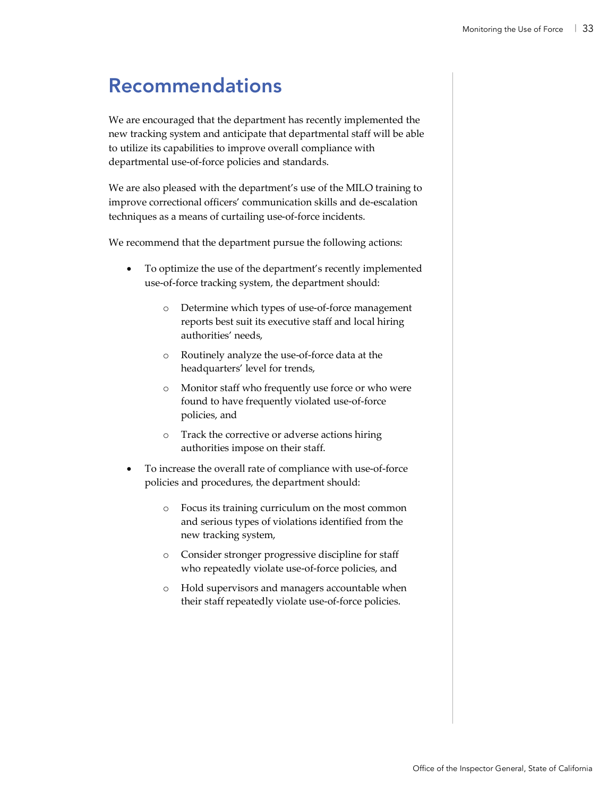# Recommendations

We are encouraged that the department has recently implemented the new tracking system and anticipate that departmental staff will be able to utilize its capabilities to improve overall compliance with departmental use-of-force policies and standards.

We are also pleased with the department's use of the MILO training to improve correctional officers' communication skills and de-escalation techniques as a means of curtailing use-of-force incidents.

We recommend that the department pursue the following actions:

- To optimize the use of the department's recently implemented use-of-force tracking system, the department should:
	- o Determine which types of use-of-force management reports best suit its executive staff and local hiring authorities' needs,
	- o Routinely analyze the use-of-force data at the headquarters' level for trends,
	- o Monitor staff who frequently use force or who were found to have frequently violated use-of-force policies, and
	- o Track the corrective or adverse actions hiring authorities impose on their staff.
- To increase the overall rate of compliance with use-of-force policies and procedures, the department should:
	- o Focus its training curriculum on the most common and serious types of violations identified from the new tracking system,
	- o Consider stronger progressive discipline for staff who repeatedly violate use-of-force policies, and
	- o Hold supervisors and managers accountable when their staff repeatedly violate use-of-force policies.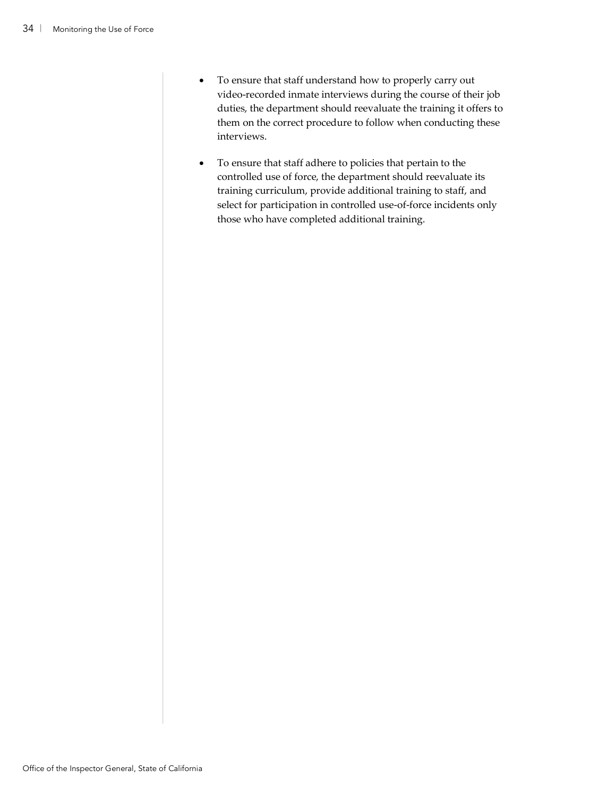- To ensure that staff understand how to properly carry out video-recorded inmate interviews during the course of their job duties, the department should reevaluate the training it offers to them on the correct procedure to follow when conducting these interviews.
- To ensure that staff adhere to policies that pertain to the controlled use of force, the department should reevaluate its training curriculum, provide additional training to staff, and select for participation in controlled use-of-force incidents only those who have completed additional training.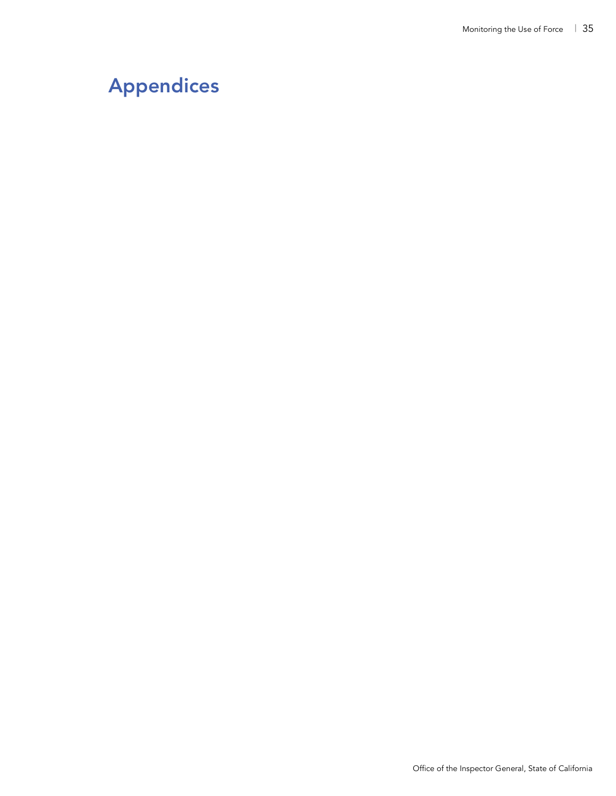# Appendices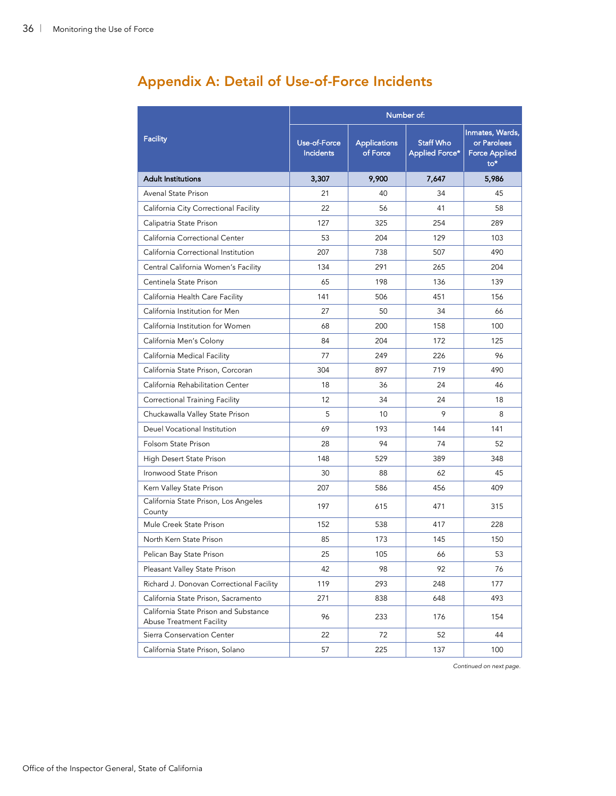|                                                                   | Number of:                       |                                 |                                           |                                                                  |  |
|-------------------------------------------------------------------|----------------------------------|---------------------------------|-------------------------------------------|------------------------------------------------------------------|--|
| <b>Facility</b>                                                   | Use-of-Force<br><b>Incidents</b> | <b>Applications</b><br>of Force | <b>Staff Who</b><br><b>Applied Force*</b> | Inmates, Wards,<br>or Parolees<br><b>Force Applied</b><br>$to^*$ |  |
| <b>Adult Institutions</b>                                         | 3,307                            | 9,900                           | 7,647                                     | 5,986                                                            |  |
| Avenal State Prison                                               | 21                               | 40                              | 34                                        | 45                                                               |  |
| California City Correctional Facility                             | 22                               | 56                              | 41                                        | 58                                                               |  |
| Calipatria State Prison                                           | 127                              | 325                             | 254                                       | 289                                                              |  |
| California Correctional Center                                    | 53                               | 204                             | 129                                       | 103                                                              |  |
| California Correctional Institution                               | 207                              | 738                             | 507                                       | 490                                                              |  |
| Central California Women's Facility                               | 134                              | 291                             | 265                                       | 204                                                              |  |
| Centinela State Prison                                            | 65                               | 198                             | 136                                       | 139                                                              |  |
| California Health Care Facility                                   | 141                              | 506                             | 451                                       | 156                                                              |  |
| California Institution for Men                                    | 27                               | 50                              | 34                                        | 66                                                               |  |
| California Institution for Women                                  | 68                               | 200                             | 158                                       | 100                                                              |  |
| California Men's Colony                                           | 84                               | 204                             | 172                                       | 125                                                              |  |
| California Medical Facility                                       | 77                               | 249                             | 226                                       | 96                                                               |  |
| California State Prison, Corcoran                                 | 304                              | 897                             | 719                                       | 490                                                              |  |
| California Rehabilitation Center                                  | 18                               | 36                              | 24                                        | 46                                                               |  |
| Correctional Training Facility                                    | 12                               | 34                              | 24                                        | 18                                                               |  |
| Chuckawalla Valley State Prison                                   | 5                                | 10                              | 9                                         | 8                                                                |  |
| Deuel Vocational Institution                                      | 69                               | 193                             | 144                                       | 141                                                              |  |
| Folsom State Prison                                               | 28                               | 94                              | 74                                        | 52                                                               |  |
| High Desert State Prison                                          | 148                              | 529                             | 389                                       | 348                                                              |  |
| Ironwood State Prison                                             | 30                               | 88                              | 62                                        | 45                                                               |  |
| Kern Valley State Prison                                          | 207                              | 586                             | 456                                       | 409                                                              |  |
| California State Prison, Los Angeles<br>County                    | 197                              | 615                             | 471                                       | 315                                                              |  |
| Mule Creek State Prison                                           | 152                              | 538                             | 417                                       | 228                                                              |  |
| North Kern State Prison                                           | 85                               | 173                             | 145                                       | 150                                                              |  |
| Pelican Bay State Prison                                          | 25                               | 105                             | 66                                        | 53                                                               |  |
| Pleasant Valley State Prison                                      | 42                               | 98                              | 92                                        | 76                                                               |  |
| Richard J. Donovan Correctional Facility                          | 119                              | 293                             | 248                                       | 177                                                              |  |
| California State Prison, Sacramento                               | 271                              | 838                             | 648                                       | 493                                                              |  |
| California State Prison and Substance<br>Abuse Treatment Facility | 96                               | 233                             | 176                                       | 154                                                              |  |
| Sierra Conservation Center                                        | 22                               | 72                              | 52                                        | 44                                                               |  |
| California State Prison, Solano                                   | 57                               | 225                             | 137                                       | 100                                                              |  |

## Appendix A: Detail of Use-of-Force Incidents

*Continued on next page.*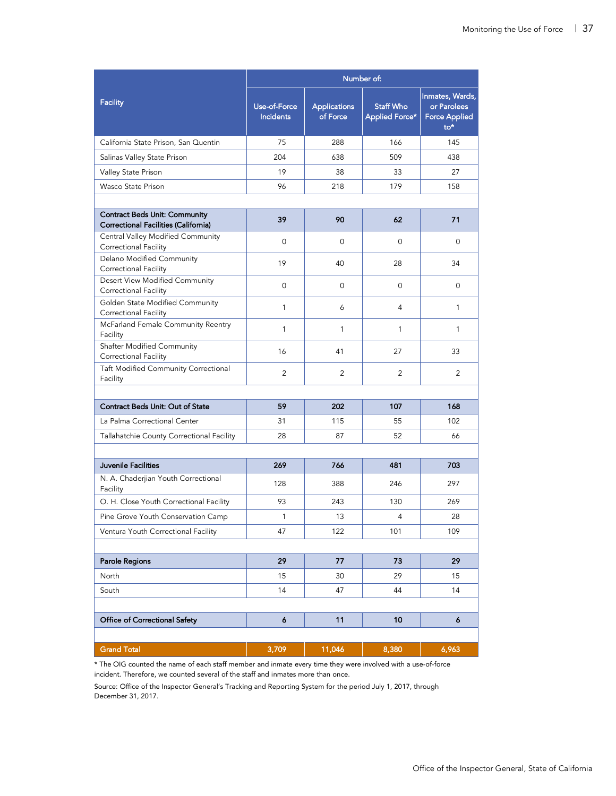|                                                                              | Number of:                       |                                 |                                           |                                                                  |  |  |
|------------------------------------------------------------------------------|----------------------------------|---------------------------------|-------------------------------------------|------------------------------------------------------------------|--|--|
| <b>Facility</b>                                                              | Use-of-Force<br><b>Incidents</b> | <b>Applications</b><br>of Force | <b>Staff Who</b><br><b>Applied Force*</b> | Inmates, Wards,<br>or Parolees<br><b>Force Applied</b><br>$to^*$ |  |  |
| California State Prison, San Quentin                                         | 75                               | 288                             | 166                                       | 145                                                              |  |  |
| Salinas Valley State Prison                                                  | 204                              | 638                             | 509                                       | 438                                                              |  |  |
| Valley State Prison                                                          | 19                               | 38                              | 33                                        | 27                                                               |  |  |
| Wasco State Prison                                                           | 96                               | 218                             | 179                                       | 158                                                              |  |  |
|                                                                              |                                  |                                 |                                           |                                                                  |  |  |
| <b>Contract Beds Unit: Community</b><br>Correctional Facilities (California) | 39                               | 90                              | 62                                        | 71                                                               |  |  |
| Central Valley Modified Community<br>Correctional Facility                   | $\mathbf{0}$                     | 0                               | 0                                         | 0                                                                |  |  |
| Delano Modified Community<br><b>Correctional Facility</b>                    | 19                               | 40                              | 28                                        | 34                                                               |  |  |
| Desert View Modified Community<br><b>Correctional Facility</b>               | 0                                | 0                               | 0                                         | 0                                                                |  |  |
| Golden State Modified Community<br><b>Correctional Facility</b>              | $\mathbf{1}$                     | 6                               | 4                                         | $\mathbf{1}$                                                     |  |  |
| McFarland Female Community Reentry<br>Facility                               | 1                                | 1                               | 1                                         | 1                                                                |  |  |
| Shafter Modified Community<br><b>Correctional Facility</b>                   | 16                               | 41                              | 27                                        | 33                                                               |  |  |
| Taft Modified Community Correctional<br>Facility                             | 2                                | $\overline{2}$                  | 2                                         | 2                                                                |  |  |
|                                                                              |                                  |                                 |                                           |                                                                  |  |  |
| Contract Beds Unit: Out of State                                             | 59                               | 202                             | 107                                       | 168                                                              |  |  |
| La Palma Correctional Center                                                 | 31                               | 115                             | 55                                        | 102                                                              |  |  |
| Tallahatchie County Correctional Facility                                    | 28                               | 87                              | 52                                        | 66                                                               |  |  |
|                                                                              |                                  |                                 |                                           |                                                                  |  |  |
| Juvenile Facilities                                                          | 269                              | 766                             | 481                                       | 703                                                              |  |  |
| N. A. Chaderjian Youth Correctional<br>Facility                              | 128                              | 388                             | 246                                       | 297                                                              |  |  |
| O. H. Close Youth Correctional Facility                                      | 93                               | 243                             | 130                                       | 269                                                              |  |  |
| Pine Grove Youth Conservation Camp                                           | 1                                | 13                              | 4                                         | 28                                                               |  |  |
| Ventura Youth Correctional Facility                                          | 47                               | 122                             | 101                                       | 109                                                              |  |  |
|                                                                              |                                  |                                 |                                           |                                                                  |  |  |
| Parole Regions                                                               | 29                               | 77                              | 73                                        | 29                                                               |  |  |
| North                                                                        | 15                               | 30                              | 29                                        | 15                                                               |  |  |
| South                                                                        | 14                               | 47                              | 44                                        | 14                                                               |  |  |
| Office of Correctional Safety                                                | $\boldsymbol{6}$                 | 11                              | 10                                        | $\boldsymbol{6}$                                                 |  |  |
|                                                                              |                                  |                                 |                                           |                                                                  |  |  |
| <b>Grand Total</b>                                                           | 3,709                            | 11,046                          | 8,380                                     | 6,963                                                            |  |  |

\* The OIG counted the name of each staff member and inmate every time they were involved with a use-of-force incident. Therefore, we counted several of the staff and inmates more than once.

Source: Office of the Inspector General's Tracking and Reporting System for the period July 1, 2017, through December 31, 2017.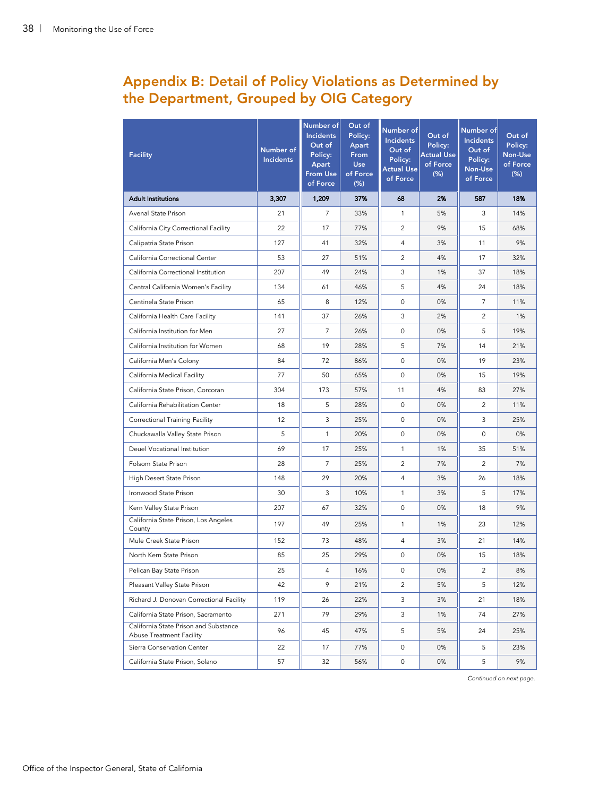## Appendix B: Detail of Policy Violations as Determined by the Department, Grouped by OIG Category

| <b>Facility</b>                                                          | Number of<br><b>Incidents</b> | Number of<br><b>Incidents</b><br>Out of<br>Policy:<br>Apart<br><b>From Use</b><br>of Force | Out of<br>Policy:<br>Apart<br>From<br><b>Use</b><br>of Force<br>(% ) | Number of<br><b>Incidents</b><br>Out of<br>Policy:<br><b>Actual Use</b><br>of Force | Out of<br>Policy:<br><b>Actual Use</b><br>of Force<br>(% ) | Number of<br><b>Incidents</b><br>Out of<br>Policy:<br>Non-Use<br>of Force | Out of<br>Policy:<br>Non-Use<br>of Force<br>$(\%)$ |
|--------------------------------------------------------------------------|-------------------------------|--------------------------------------------------------------------------------------------|----------------------------------------------------------------------|-------------------------------------------------------------------------------------|------------------------------------------------------------|---------------------------------------------------------------------------|----------------------------------------------------|
| <b>Adult Institutions</b>                                                | 3,307                         | 1,209                                                                                      | 37%                                                                  | 68                                                                                  | 2%                                                         | 587                                                                       | 18%                                                |
| Avenal State Prison                                                      | 21                            | 7                                                                                          | 33%                                                                  | 1                                                                                   | 5%                                                         | 3                                                                         | 14%                                                |
| California City Correctional Facility                                    | 22                            | 17                                                                                         | 77%                                                                  | $\overline{c}$                                                                      | 9%                                                         | 15                                                                        | 68%                                                |
| Calipatria State Prison                                                  | 127                           | 41                                                                                         | 32%                                                                  | $\overline{4}$                                                                      | 3%                                                         | 11                                                                        | 9%                                                 |
| California Correctional Center                                           | 53                            | 27                                                                                         | 51%                                                                  | 2                                                                                   | 4%                                                         | 17                                                                        | 32%                                                |
| California Correctional Institution                                      | 207                           | 49                                                                                         | 24%                                                                  | 3                                                                                   | 1%                                                         | 37                                                                        | 18%                                                |
| Central California Women's Facility                                      | 134                           | 61                                                                                         | 46%                                                                  | 5                                                                                   | 4%                                                         | 24                                                                        | 18%                                                |
| Centinela State Prison                                                   | 65                            | 8                                                                                          | 12%                                                                  | $\mathbf 0$                                                                         | 0%                                                         | $\overline{7}$                                                            | 11%                                                |
| California Health Care Facility                                          | 141                           | 37                                                                                         | 26%                                                                  | 3                                                                                   | 2%                                                         | $\overline{2}$                                                            | 1%                                                 |
| California Institution for Men                                           | 27                            | 7                                                                                          | 26%                                                                  | 0                                                                                   | 0%                                                         | 5                                                                         | 19%                                                |
| California Institution for Women                                         | 68                            | 19                                                                                         | 28%                                                                  | 5                                                                                   | 7%                                                         | 14                                                                        | 21%                                                |
| California Men's Colony                                                  | 84                            | 72                                                                                         | 86%                                                                  | $\mathbf 0$                                                                         | 0%                                                         | 19                                                                        | 23%                                                |
| California Medical Facility                                              | 77                            | 50                                                                                         | 65%                                                                  | $\mathbf 0$                                                                         | 0%                                                         | 15                                                                        | 19%                                                |
| California State Prison, Corcoran                                        | 304                           | 173                                                                                        | 57%                                                                  | 11                                                                                  | 4%                                                         | 83                                                                        | 27%                                                |
| California Rehabilitation Center                                         | 18                            | 5                                                                                          | 28%                                                                  | 0                                                                                   | 0%                                                         | $\overline{c}$                                                            | 11%                                                |
| Correctional Training Facility                                           | 12                            | 3                                                                                          | 25%                                                                  | $\mathbf 0$                                                                         | 0%                                                         | 3                                                                         | 25%                                                |
| Chuckawalla Valley State Prison                                          | 5                             | $\mathbf{1}$                                                                               | 20%                                                                  | $\mathbf 0$                                                                         | 0%                                                         | $\mathbf 0$                                                               | 0%                                                 |
| Deuel Vocational Institution                                             | 69                            | 17                                                                                         | 25%                                                                  | $\mathbf{1}$                                                                        | 1%                                                         | 35                                                                        | 51%                                                |
| Folsom State Prison                                                      | 28                            | 7                                                                                          | 25%                                                                  | $\overline{c}$                                                                      | 7%                                                         | $\overline{c}$                                                            | 7%                                                 |
| High Desert State Prison                                                 | 148                           | 29                                                                                         | 20%                                                                  | $\overline{4}$                                                                      | 3%                                                         | 26                                                                        | 18%                                                |
| Ironwood State Prison                                                    | 30                            | 3                                                                                          | 10%                                                                  | 1                                                                                   | 3%                                                         | 5                                                                         | 17%                                                |
| Kern Valley State Prison                                                 | 207                           | 67                                                                                         | 32%                                                                  | $\mathbf 0$                                                                         | 0%                                                         | 18                                                                        | 9%                                                 |
| California State Prison, Los Angeles<br>County                           | 197                           | 49                                                                                         | 25%                                                                  | 1                                                                                   | 1%                                                         | 23                                                                        | 12%                                                |
| Mule Creek State Prison                                                  | 152                           | 73                                                                                         | 48%                                                                  | $\overline{4}$                                                                      | 3%                                                         | 21                                                                        | 14%                                                |
| North Kern State Prison                                                  | 85                            | 25                                                                                         | 29%                                                                  | 0                                                                                   | 0%                                                         | 15                                                                        | 18%                                                |
| Pelican Bay State Prison                                                 | 25                            | 4                                                                                          | 16%                                                                  | $\mathsf{O}\xspace$                                                                 | $0\%$                                                      | $\sqrt{2}$                                                                | $8%$                                               |
| Pleasant Valley State Prison                                             | 42                            | 9                                                                                          | 21%                                                                  | 2                                                                                   | 5%                                                         | 5                                                                         | 12%                                                |
| Richard J. Donovan Correctional Facility                                 | 119                           | 26                                                                                         | 22%                                                                  | 3                                                                                   | 3%                                                         | 21                                                                        | 18%                                                |
| California State Prison, Sacramento                                      | 271                           | 79                                                                                         | 29%                                                                  | 3                                                                                   | 1%                                                         | 74                                                                        | 27%                                                |
| California State Prison and Substance<br><b>Abuse Treatment Facility</b> | 96                            | 45                                                                                         | 47%                                                                  | 5                                                                                   | 5%                                                         | 24                                                                        | 25%                                                |
| Sierra Conservation Center                                               | 22                            | 17                                                                                         | 77%                                                                  | $\mathbf 0$                                                                         | 0%                                                         | 5                                                                         | 23%                                                |
| California State Prison, Solano                                          | 57                            | 32                                                                                         | 56%                                                                  | $\mathsf{O}\xspace$                                                                 | 0%                                                         | 5                                                                         | 9%                                                 |

*Continued on next page.*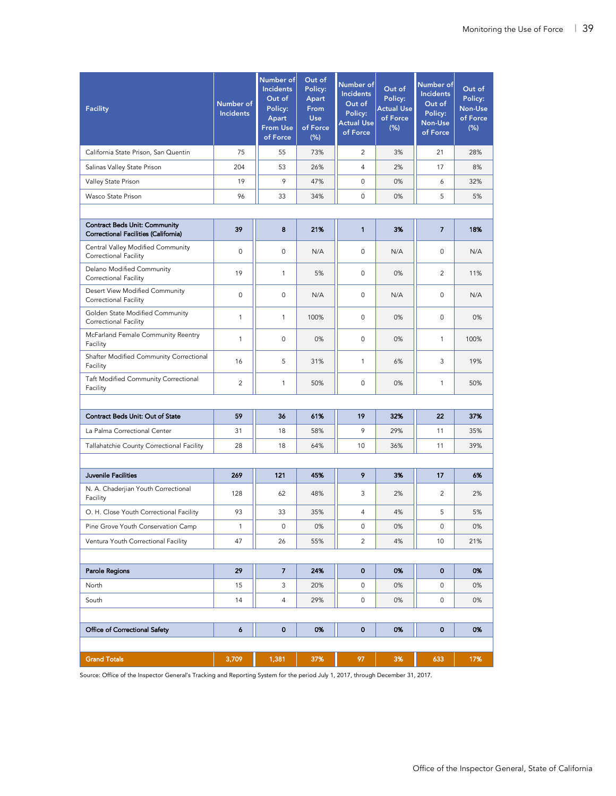| <b>Facility</b>                                                              | Number of<br><b>Incidents</b> | Number of<br><b>Incidents</b><br>Out of<br>Policy:<br>Apart<br><b>From Use</b><br>of Force | Out of<br>Policy:<br>Apart<br>From<br><b>Use</b><br>of Force<br>(% ) | Number of<br><b>Incidents</b><br>Out of<br>Policy:<br><b>Actual Use</b><br>of Force | Out of<br>Policy:<br><b>Actual Use</b><br>of Force<br>(%) | Number of<br><b>Incidents</b><br>Out of<br>Policy:<br>Non-Use<br>of Force | Out of<br>Policy:<br>Non-Use<br>of Force<br>$(\%)$ |
|------------------------------------------------------------------------------|-------------------------------|--------------------------------------------------------------------------------------------|----------------------------------------------------------------------|-------------------------------------------------------------------------------------|-----------------------------------------------------------|---------------------------------------------------------------------------|----------------------------------------------------|
| California State Prison, San Quentin                                         | 75                            | 55                                                                                         | 73%                                                                  | 2                                                                                   | 3%                                                        | 21                                                                        | 28%                                                |
| Salinas Valley State Prison                                                  | 204                           | 53                                                                                         | 26%                                                                  | 4                                                                                   | 2%                                                        | 17                                                                        | 8%                                                 |
| Valley State Prison                                                          | 19                            | 9                                                                                          | 47%                                                                  | 0                                                                                   | 0%                                                        | 6                                                                         | 32%                                                |
| Wasco State Prison                                                           | 96                            | 33                                                                                         | 34%                                                                  | 0                                                                                   | 0%                                                        | 5                                                                         | 5%                                                 |
|                                                                              |                               |                                                                                            |                                                                      |                                                                                     |                                                           |                                                                           |                                                    |
| <b>Contract Beds Unit: Community</b><br>Correctional Facilities (California) | 39                            | 8                                                                                          | 21%                                                                  | 1                                                                                   | 3%                                                        | 7                                                                         | 18%                                                |
| Central Valley Modified Community<br>Correctional Facility                   | $\mathbf 0$                   | 0                                                                                          | N/A                                                                  | $\mathbf 0$                                                                         | N/A                                                       | 0                                                                         | N/A                                                |
| Delano Modified Community<br>Correctional Facility                           | 19                            | 1                                                                                          | 5%                                                                   | $\mathbf 0$                                                                         | 0%                                                        | 2                                                                         | 11%                                                |
| Desert View Modified Community<br>Correctional Facility                      | $\mathbf 0$                   | 0                                                                                          | N/A                                                                  | 0                                                                                   | N/A                                                       | $\mathbf 0$                                                               | N/A                                                |
| Golden State Modified Community<br>Correctional Facility                     | 1                             | 1                                                                                          | 100%                                                                 | $\mathbf 0$                                                                         | 0%                                                        | $\mathbf 0$                                                               | 0%                                                 |
| McFarland Female Community Reentry<br>Facility                               | 1                             | 0                                                                                          | 0%                                                                   | 0                                                                                   | 0%                                                        | $\mathbf{1}$                                                              | 100%                                               |
| Shafter Modified Community Correctional<br>Facility                          | 16                            | 5                                                                                          | 31%                                                                  | 1                                                                                   | 6%                                                        | 3                                                                         | 19%                                                |
| Taft Modified Community Correctional<br>Facility                             | 2                             | 1                                                                                          | 50%                                                                  | $\mathbf 0$                                                                         | 0%                                                        | $\mathbf{1}$                                                              | 50%                                                |
|                                                                              |                               |                                                                                            |                                                                      |                                                                                     |                                                           |                                                                           |                                                    |
| Contract Beds Unit: Out of State                                             | 59                            | 36                                                                                         | 61%                                                                  | 19                                                                                  | 32%                                                       | 22                                                                        | 37%                                                |
| La Palma Correctional Center                                                 | 31                            | 18                                                                                         | 58%                                                                  | 9                                                                                   | 29%                                                       | 11                                                                        | 35%                                                |
| Tallahatchie County Correctional Facility                                    | 28                            | 18                                                                                         | 64%                                                                  | 10                                                                                  | 36%                                                       | 11                                                                        | 39%                                                |
|                                                                              |                               |                                                                                            |                                                                      |                                                                                     |                                                           |                                                                           |                                                    |
| Juvenile Facilities                                                          | 269                           | 121                                                                                        | 45%                                                                  | 9                                                                                   | 3%                                                        | 17                                                                        | 6%                                                 |
| N. A. Chaderjian Youth Correctional<br>Facility                              | 128                           | 62                                                                                         | 48%                                                                  | 3                                                                                   | 2%                                                        | 2                                                                         | 2%                                                 |
| O. H. Close Youth Correctional Facility                                      | 93                            | 33                                                                                         | 35%                                                                  | $\overline{4}$                                                                      | 4%                                                        | 5                                                                         | 5%                                                 |
| Pine Grove Youth Conservation Camp                                           | 1                             | $\mathsf{O}\xspace$                                                                        | 0%                                                                   | 0                                                                                   | 0%                                                        | $\mathsf 0$                                                               | 0%                                                 |
| Ventura Youth Correctional Facility                                          | 47                            | 26                                                                                         | 55%                                                                  | 2                                                                                   | 4%                                                        | 10                                                                        | 21%                                                |
|                                                                              |                               |                                                                                            |                                                                      |                                                                                     |                                                           |                                                                           |                                                    |
| Parole Regions                                                               | 29                            | $\overline{7}$                                                                             | 24%                                                                  | $\mathbf 0$                                                                         | 0%                                                        | $\mathbf 0$                                                               | 0%                                                 |
| North                                                                        | 15                            | 3                                                                                          | 20%                                                                  | 0                                                                                   | 0%                                                        | 0                                                                         | 0%                                                 |
| South                                                                        | 14                            | 4                                                                                          | 29%                                                                  | 0                                                                                   | 0%                                                        | 0                                                                         | 0%                                                 |
|                                                                              |                               |                                                                                            |                                                                      |                                                                                     |                                                           |                                                                           |                                                    |
| Office of Correctional Safety                                                | 6                             | $\pmb{0}$                                                                                  | 0%                                                                   | $\mathbf 0$                                                                         | 0%                                                        | $\mathbf 0$                                                               | 0%                                                 |
|                                                                              |                               |                                                                                            |                                                                      |                                                                                     |                                                           |                                                                           |                                                    |
| <b>Grand Totals</b>                                                          | 3,709                         | 1,381                                                                                      | 37%                                                                  | 97                                                                                  | 3%                                                        | 633                                                                       | 17%                                                |

Source: Office of the Inspector General's Tracking and Reporting System for the period July 1, 2017, through December 31, 2017.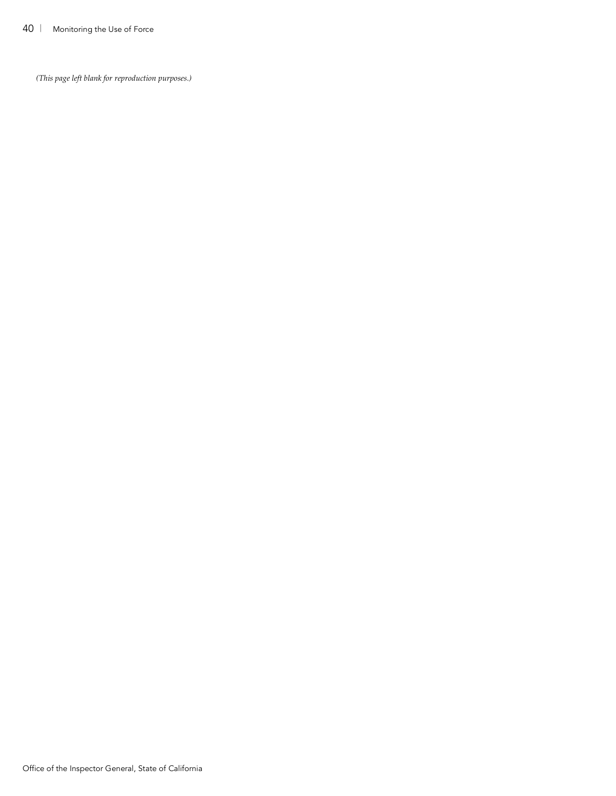*(This page left blank for reproduction purposes.)*